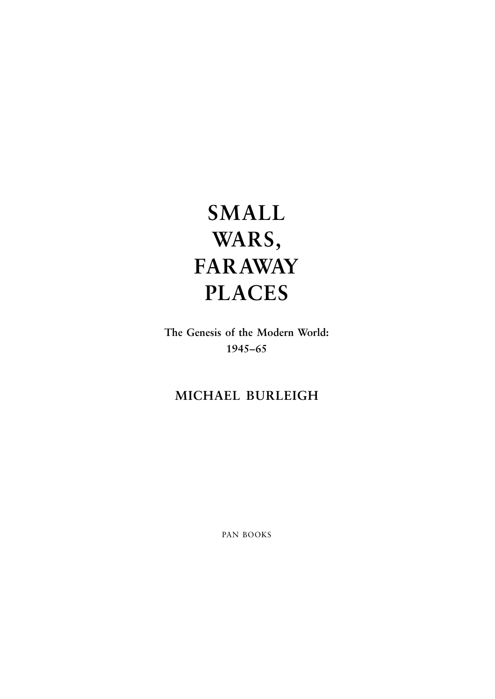**The Genesis of the Modern World: 1945–65**

# **MICHAEL BURLEIGH**

PAN BOOKS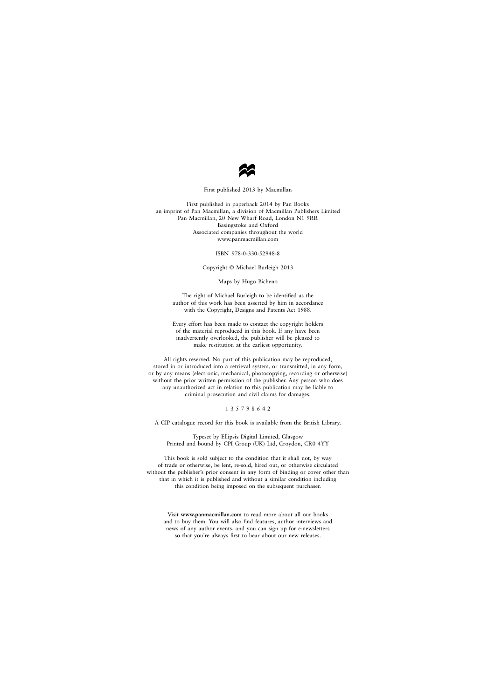

First published 2013 by Macmillan

First published in paperback 2014 by Pan Books an imprint of Pan Macmillan, a division of Macmillan Publishers Limited Pan Macmillan, 20 New Wharf Road, London N1 9RR Basingstoke and Oxford Associated companies throughout the world www.panmacmillan.com

ISBN 978-0-330-52948-8

Copyright © Michael Burleigh 2013

Maps by Hugo Bicheno

The right of Michael Burleigh to be identified as the author of this work has been asserted by him in accordance with the Copyright, Designs and Patents Act 1988.

Every effort has been made to contact the copyright holders of the material reproduced in this book. If any have been inadvertently overlooked, the publisher will be pleased to make restitution at the earliest opportunity.

All rights reserved. No part of this publication may be reproduced, stored in or introduced into a retrieval system, or transmitted, in any form, or by any means (electronic, mechanical, photocopying, recording or otherwise) without the prior written permission of the publisher. Any person who does any unauthorized act in relation to this publication may be liable to criminal prosecution and civil claims for damages.

1 3 5 7 9 8 6 4 2

A CIP catalogue record for this book is available from the British Library.

Typeset by Ellipsis Digital Limited, Glasgow Printed and bound by CPI Group (UK) Ltd, Croydon, CR0 4YY

This book is sold subject to the condition that it shall not, by way of trade or otherwise, be lent, re-sold, hired out, or otherwise circulated without the publisher's prior consent in any form of binding or cover other than that in which it is published and without a similar condition including this condition being imposed on the subsequent purchaser.

Visit **www.panmacmillan.com** to read more about all our books and to buy them. You will also find features, author interviews and news of any author events, and you can sign up for e-newsletters so that you're always first to hear about our new releases.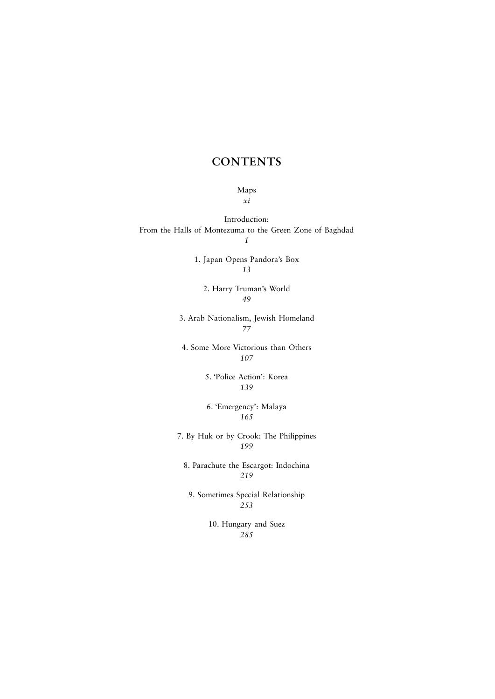# **CONTENTS**

# Maps *xi*

Introduction: From the Halls of Montezuma to the Green Zone of Baghdad

*1*

1. Japan Opens Pandora's Box *13*

2. Harry Truman's World *49*

3. Arab Nationalism, Jewish Homeland *77*

4. Some More Victorious than Others *107*

> 5. 'Police Action': Korea *139*

6. 'Emergency': Malaya *165*

7. By Huk or by Crook: The Philippines *199*

8. Parachute the Escargot: Indochina *219*

9. Sometimes Special Relationship *253*

> 10. Hungary and Suez *285*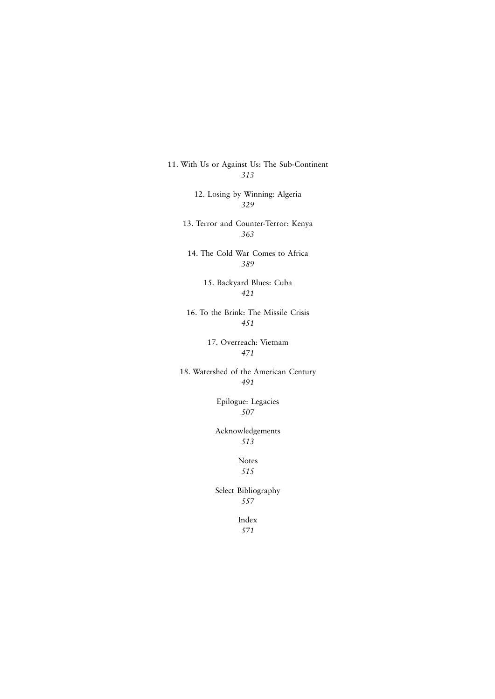11. With Us or Against Us: The Sub-Continent *313*

> 12. Losing by Winning: Algeria *329*

13. Terror and Counter-Terror: Kenya *363*

14. The Cold War Comes to Africa *389*

> 15. Backyard Blues: Cuba *421*

16. To the Brink: The Missile Crisis *451*

> 17. Overreach: Vietnam *471*

18. Watershed of the American Century *491*

> Epilogue: Legacies *507*

Acknowledgements *513*

> Notes *515*

Select Bibliography *557*

> Index *571*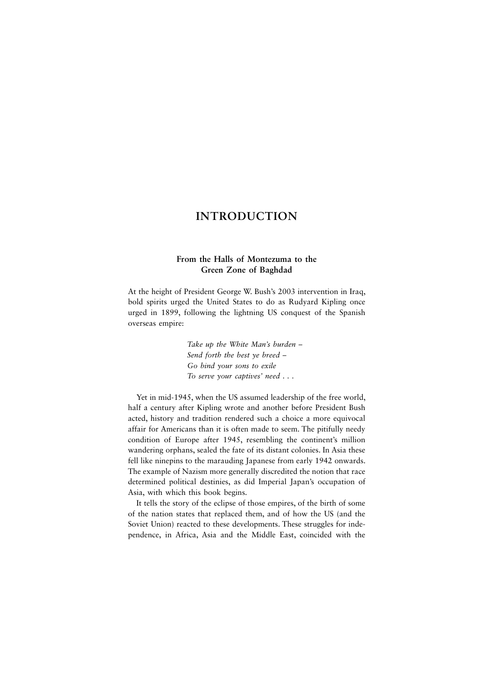# **INTRODUCTION**

# **From the Halls of Montezuma to the Green Zone of Baghdad**

At the height of President George W. Bush's 2003 intervention in Iraq, bold spirits urged the United States to do as Rudyard Kipling once urged in 1899, following the lightning US conquest of the Spanish overseas empire:

> *Take up the White Man's burden – Send forth the best ye breed – Go bind your sons to exile To serve your captives' need . . .*

Yet in mid-1945, when the US assumed leadership of the free world, half a century after Kipling wrote and another before President Bush acted, history and tradition rendered such a choice a more equivocal affair for Americans than it is often made to seem. The pitifully needy condition of Europe after 1945, resembling the continent's million wandering orphans, sealed the fate of its distant colonies. In Asia these fell like ninepins to the marauding Japanese from early 1942 onwards. The example of Nazism more generally discredited the notion that race determined political destinies, as did Imperial Japan's occupation of Asia, with which this book begins.

It tells the story of the eclipse of those empires, of the birth of some of the nation states that replaced them, and of how the US (and the Soviet Union) reacted to these developments. These struggles for independence, in Africa, Asia and the Middle East, coincided with the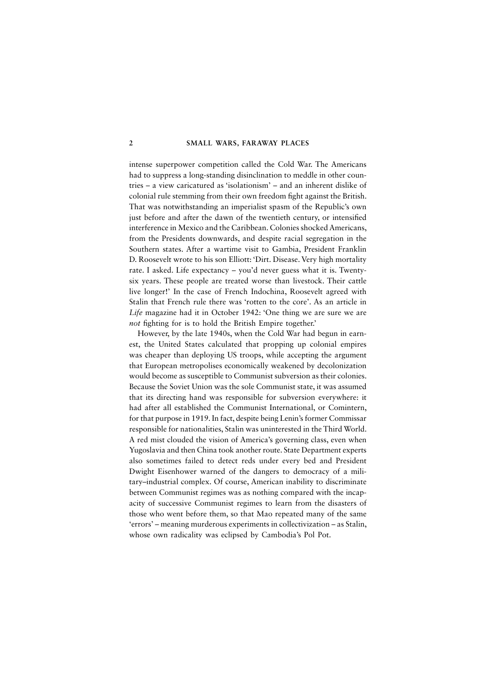intense superpower competition called the Cold War. The Americans had to suppress a long-standing disinclination to meddle in other countries – a view caricatured as 'isolationism' – and an inherent dislike of colonial rule stemming from their own freedom fight against the British. That was notwithstanding an imperialist spasm of the Republic's own just before and after the dawn of the twentieth century, or intensified interference in Mexico and the Caribbean. Colonies shocked Americans, from the Presidents downwards, and despite racial segregation in the Southern states. After a wartime visit to Gambia, President Franklin D. Roosevelt wrote to his son Elliott: 'Dirt. Disease. Very high mortality rate. I asked. Life expectancy – you'd never guess what it is. Twentysix years. These people are treated worse than livestock. Their cattle live longer!' In the case of French Indochina, Roosevelt agreed with Stalin that French rule there was 'rotten to the core'. As an article in *Life* magazine had it in October 1942: 'One thing we are sure we are *not* fighting for is to hold the British Empire together.'

However, by the late 1940s, when the Cold War had begun in earnest, the United States calculated that propping up colonial empires was cheaper than deploying US troops, while accepting the argument that European metropolises economically weakened by decolonization would become as susceptible to Communist subversion as their colonies. Because the Soviet Union was the sole Communist state, it was assumed that its directing hand was responsible for subversion everywhere: it had after all established the Communist International, or Comintern, for that purpose in 1919. In fact, despite being Lenin's former Commissar responsible for nationalities, Stalin was uninterested in the Third World. A red mist clouded the vision of America's governing class, even when Yugoslavia and then China took another route. State Department experts also sometimes failed to detect reds under every bed and President Dwight Eisenhower warned of the dangers to democracy of a military–industrial complex. Of course, American inability to discriminate between Communist regimes was as nothing compared with the incapacity of successive Communist regimes to learn from the disasters of those who went before them, so that Mao repeated many of the same 'errors' – meaning murderous experiments in collectivization – as Stalin, whose own radicality was eclipsed by Cambodia's Pol Pot.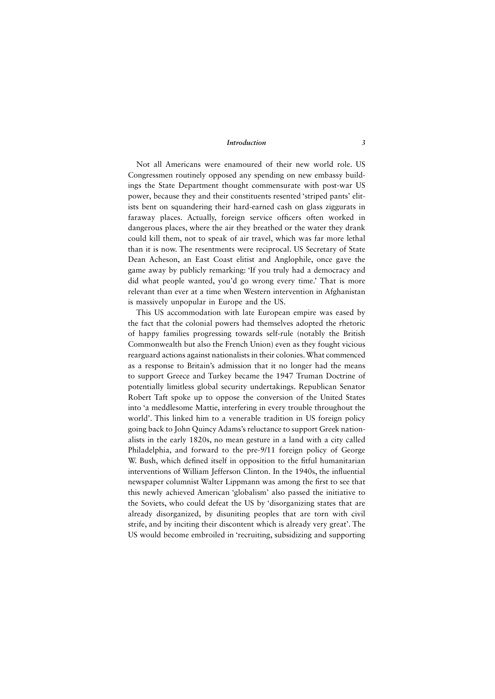## *Introduction 3*

Not all Americans were enamoured of their new world role. US Congressmen routinely opposed any spending on new embassy buildings the State Department thought commensurate with post-war US power, because they and their constituents resented 'striped pants' elitists bent on squandering their hard-earned cash on glass ziggurats in faraway places. Actually, foreign service officers often worked in dangerous places, where the air they breathed or the water they drank could kill them, not to speak of air travel, which was far more lethal than it is now. The resentments were reciprocal. US Secretary of State Dean Acheson, an East Coast elitist and Anglophile, once gave the game away by publicly remarking: 'If you truly had a democracy and did what people wanted, you'd go wrong every time.' That is more relevant than ever at a time when Western intervention in Afghanistan is massively unpopular in Europe and the US.

This US accommodation with late European empire was eased by the fact that the colonial powers had themselves adopted the rhetoric of happy families progressing towards self-rule (notably the British Commonwealth but also the French Union) even as they fought vicious rearguard actions against nationalists in their colonies. What commenced as a response to Britain's admission that it no longer had the means to support Greece and Turkey became the 1947 Truman Doctrine of potentially limitless global security undertakings. Republican Senator Robert Taft spoke up to oppose the conversion of the United States into 'a meddlesome Mattie, interfering in every trouble throughout the world'. This linked him to a venerable tradition in US foreign policy going back to John Quincy Adams's reluctance to support Greek nationalists in the early 1820s, no mean gesture in a land with a city called Philadelphia, and forward to the pre-9/11 foreign policy of George W. Bush, which defined itself in opposition to the fitful humanitarian interventions of William Jefferson Clinton. In the 1940s, the influential newspaper columnist Walter Lippmann was among the first to see that this newly achieved American 'globalism' also passed the initiative to the Soviets, who could defeat the US by 'disorganizing states that are already disorganized, by disuniting peoples that are torn with civil strife, and by inciting their discontent which is already very great'. The US would become embroiled in 'recruiting, subsidizing and supporting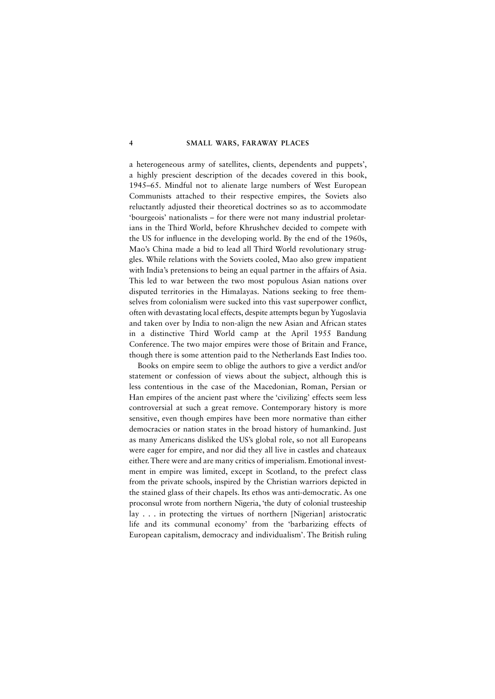a heterogeneous army of satellites, clients, dependents and puppets', a highly prescient description of the decades covered in this book, 1945–65. Mindful not to alienate large numbers of West European Communists attached to their respective empires, the Soviets also reluctantly adjusted their theoretical doctrines so as to accommodate 'bourgeois' nationalists – for there were not many industrial proletarians in the Third World, before Khrushchev decided to compete with the US for influence in the developing world. By the end of the 1960s, Mao's China made a bid to lead all Third World revolutionary struggles. While relations with the Soviets cooled, Mao also grew impatient with India's pretensions to being an equal partner in the affairs of Asia. This led to war between the two most populous Asian nations over disputed territories in the Himalayas. Nations seeking to free themselves from colonialism were sucked into this vast superpower conflict, often with devastating local effects, despite attempts begun by Yugoslavia and taken over by India to non-align the new Asian and African states in a distinctive Third World camp at the April 1955 Bandung Conference. The two major empires were those of Britain and France, though there is some attention paid to the Netherlands East Indies too.

Books on empire seem to oblige the authors to give a verdict and/or statement or confession of views about the subject, although this is less contentious in the case of the Macedonian, Roman, Persian or Han empires of the ancient past where the 'civilizing' effects seem less controversial at such a great remove. Contemporary history is more sensitive, even though empires have been more normative than either democracies or nation states in the broad history of humankind. Just as many Americans disliked the US's global role, so not all Europeans were eager for empire, and nor did they all live in castles and chateaux either. There were and are many critics of imperialism. Emotional investment in empire was limited, except in Scotland, to the prefect class from the private schools, inspired by the Christian warriors depicted in the stained glass of their chapels. Its ethos was anti-democratic. As one proconsul wrote from northern Nigeria, 'the duty of colonial trusteeship lay . . . in protecting the virtues of northern [Nigerian] aristocratic life and its communal economy' from the 'barbarizing effects of European capitalism, democracy and individualism'. The British ruling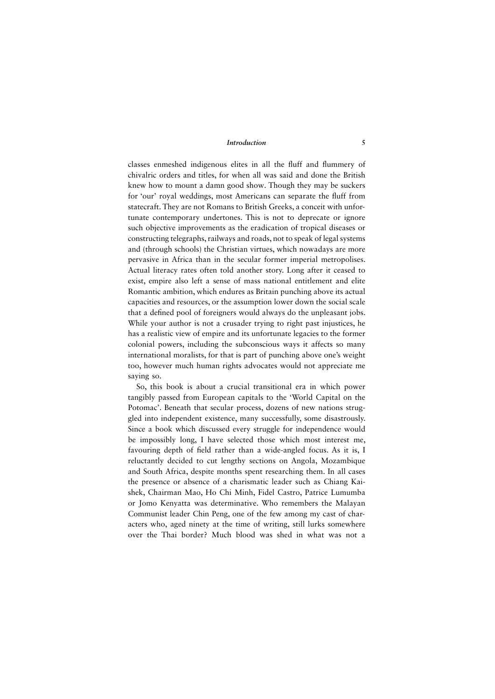## *Introduction* **5**

classes enmeshed indigenous elites in all the fluff and flummery of chivalric orders and titles, for when all was said and done the British knew how to mount a damn good show. Though they may be suckers for 'our' royal weddings, most Americans can separate the fluff from statecraft. They are not Romans to British Greeks, a conceit with unfortunate contemporary undertones. This is not to deprecate or ignore such objective improvements as the eradication of tropical diseases or constructing telegraphs, railways and roads, not to speak of legal systems and (through schools) the Christian virtues, which nowadays are more pervasive in Africa than in the secular former imperial metropolises. Actual literacy rates often told another story. Long after it ceased to exist, empire also left a sense of mass national entitlement and elite Romantic ambition, which endures as Britain punching above its actual capacities and resources, or the assumption lower down the social scale that a defined pool of foreigners would always do the unpleasant jobs. While your author is not a crusader trying to right past injustices, he has a realistic view of empire and its unfortunate legacies to the former colonial powers, including the subconscious ways it affects so many international moralists, for that is part of punching above one's weight too, however much human rights advocates would not appreciate me saying so.

So, this book is about a crucial transitional era in which power tangibly passed from European capitals to the 'World Capital on the Potomac'. Beneath that secular process, dozens of new nations struggled into independent existence, many successfully, some disastrously. Since a book which discussed every struggle for independence would be impossibly long, I have selected those which most interest me, favouring depth of field rather than a wide-angled focus. As it is, I reluctantly decided to cut lengthy sections on Angola, Mozambique and South Africa, despite months spent researching them. In all cases the presence or absence of a charismatic leader such as Chiang Kaishek, Chairman Mao, Ho Chi Minh, Fidel Castro, Patrice Lumumba or Jomo Kenyatta was determinative. Who remembers the Malayan Communist leader Chin Peng, one of the few among my cast of characters who, aged ninety at the time of writing, still lurks somewhere over the Thai border? Much blood was shed in what was not a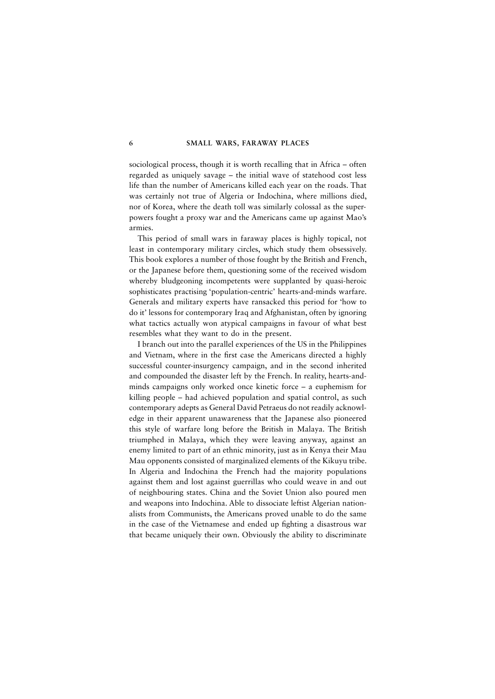sociological process, though it is worth recalling that in Africa – often regarded as uniquely savage – the initial wave of statehood cost less life than the number of Americans killed each year on the roads. That was certainly not true of Algeria or Indochina, where millions died, nor of Korea, where the death toll was similarly colossal as the superpowers fought a proxy war and the Americans came up against Mao's armies.

This period of small wars in faraway places is highly topical, not least in contemporary military circles, which study them obsessively. This book explores a number of those fought by the British and French, or the Japanese before them, questioning some of the received wisdom whereby bludgeoning incompetents were supplanted by quasi-heroic sophisticates practising 'population-centric' hearts-and-minds warfare. Generals and military experts have ransacked this period for 'how to do it' lessons for contemporary Iraq and Afghanistan, often by ignoring what tactics actually won atypical campaigns in favour of what best resembles what they want to do in the present.

I branch out into the parallel experiences of the US in the Philippines and Vietnam, where in the first case the Americans directed a highly successful counter-insurgency campaign, and in the second inherited and compounded the disaster left by the French. In reality, hearts-andminds campaigns only worked once kinetic force – a euphemism for killing people – had achieved population and spatial control, as such contemporary adepts as General David Petraeus do not readily acknowledge in their apparent unawareness that the Japanese also pioneered this style of warfare long before the British in Malaya. The British triumphed in Malaya, which they were leaving anyway, against an enemy limited to part of an ethnic minority, just as in Kenya their Mau Mau opponents consisted of marginalized elements of the Kikuyu tribe. In Algeria and Indochina the French had the majority populations against them and lost against guerrillas who could weave in and out of neighbouring states. China and the Soviet Union also poured men and weapons into Indochina. Able to dissociate leftist Algerian nationalists from Communists, the Americans proved unable to do the same in the case of the Vietnamese and ended up fighting a disastrous war that became uniquely their own. Obviously the ability to discriminate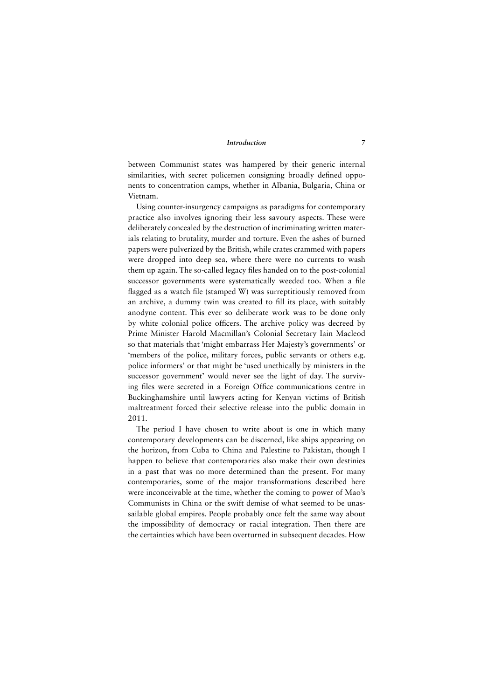## *Introduction* **7**

between Communist states was hampered by their generic internal similarities, with secret policemen consigning broadly defined opponents to concentration camps, whether in Albania, Bulgaria, China or Vietnam.

Using counter-insurgency campaigns as paradigms for contemporary practice also involves ignoring their less savoury aspects. These were deliberately concealed by the destruction of incriminating written mater ials relating to brutality, murder and torture. Even the ashes of burned papers were pulverized by the British, while crates crammed with papers were dropped into deep sea, where there were no currents to wash them up again. The so-called legacy files handed on to the post-colonial successor governments were systematically weeded too. When a file flagged as a watch file (stamped W) was surreptitiously removed from an archive, a dummy twin was created to fill its place, with suitably anodyne content. This ever so deliberate work was to be done only by white colonial police officers. The archive policy was decreed by Prime Minister Harold Macmillan's Colonial Secretary Iain Macleod so that materials that 'might embarrass Her Majesty's governments' or 'members of the police, military forces, public servants or others e.g. police informers' or that might be 'used unethically by ministers in the successor government' would never see the light of day. The surviving files were secreted in a Foreign Office communications centre in Buckinghamshire until lawyers acting for Kenyan victims of British maltreatment forced their selective release into the public domain in 2011.

The period I have chosen to write about is one in which many contemporary developments can be discerned, like ships appearing on the horizon, from Cuba to China and Palestine to Pakistan, though I happen to believe that contemporaries also make their own destinies in a past that was no more determined than the present. For many contemporaries, some of the major transformations described here were inconceivable at the time, whether the coming to power of Mao's Communists in China or the swift demise of what seemed to be unassailable global empires. People probably once felt the same way about the impossibility of democracy or racial integration. Then there are the certainties which have been overturned in subsequent decades. How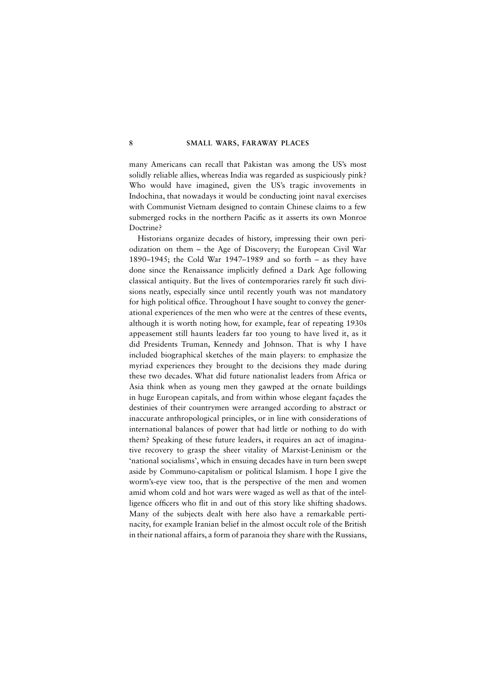many Americans can recall that Pakistan was among the US's most solidly reliable allies, whereas India was regarded as suspiciously pink? Who would have imagined, given the US's tragic invovements in Indochina, that nowadays it would be conducting joint naval exercises with Communist Vietnam designed to contain Chinese claims to a few submerged rocks in the northern Pacific as it asserts its own Monroe Doctrine?

Historians organize decades of history, impressing their own periodization on them – the Age of Discovery; the European Civil War 1890–1945; the Cold War 1947–1989 and so forth – as they have done since the Renaissance implicitly defined a Dark Age following classical antiquity. But the lives of contemporaries rarely fit such divisions neatly, especially since until recently youth was not mandatory for high political office. Throughout I have sought to convey the generational experiences of the men who were at the centres of these events, although it is worth noting how, for example, fear of repeating 1930s appeasement still haunts leaders far too young to have lived it, as it did Presidents Truman, Kennedy and Johnson. That is why I have included biographical sketches of the main players: to emphasize the myriad experiences they brought to the decisions they made during these two decades. What did future nationalist leaders from Africa or Asia think when as young men they gawped at the ornate buildings in huge European capitals, and from within whose elegant façades the destinies of their countrymen were arranged according to abstract or inaccurate anthropological principles, or in line with considerations of international balances of power that had little or nothing to do with them? Speaking of these future leaders, it requires an act of imaginative recovery to grasp the sheer vitality of Marxist-Leninism or the 'national socialisms', which in ensuing decades have in turn been swept aside by Communo-capitalism or political Islamism. I hope I give the worm's-eye view too, that is the perspective of the men and women amid whom cold and hot wars were waged as well as that of the intelligence officers who flit in and out of this story like shifting shadows. Many of the subjects dealt with here also have a remarkable pertinacity, for example Iranian belief in the almost occult role of the British in their national affairs, a form of paranoia they share with the Russians,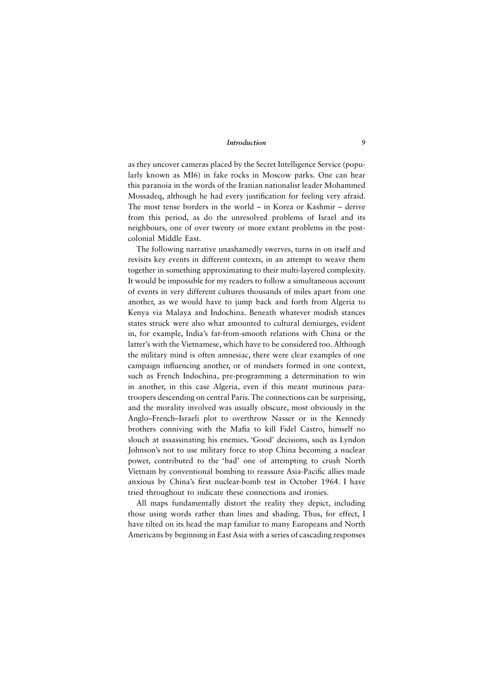## *Introduction 9*

as they uncover cameras placed by the Secret Intelligence Service (popularly known as MI6) in fake rocks in Moscow parks. One can hear this paranoia in the words of the Iranian nationalist leader Mohammed Mossadeq, although he had every justification for feeling very afraid. The most tense borders in the world – in Korea or Kashmir – derive from this period, as do the unresolved problems of Israel and its neighbours, one of over twenty or more extant problems in the postcolonial Middle East.

The following narrative unashamedly swerves, turns in on itself and revisits key events in different contexts, in an attempt to weave them together in something approximating to their multi-layered complexity. It would be impossible for my readers to follow a simultaneous account of events in very different cultures thousands of miles apart from one another, as we would have to jump back and forth from Algeria to Kenya via Malaya and Indochina. Beneath whatever modish stances states struck were also what amounted to cultural demiurges, evident in, for example, India's far-from-smooth relations with China or the latter's with the Vietnamese, which have to be considered too. Although the military mind is often amnesiac, there were clear examples of one campaign influencing another, or of mindsets formed in one context, such as French Indochina, pre-programming a determination to win in another, in this case Algeria, even if this meant mutinous paratroopers descending on central Paris. The connections can be surprising, and the morality involved was usually obscure, most obviously in the Anglo–French–Israeli plot to overthrow Nasser or in the Kennedy brothers conniving with the Mafia to kill Fidel Castro, himself no slouch at assassinating his enemies. 'Good' decisions, such as Lyndon Johnson's not to use military force to stop China becoming a nuclear power, contributed to the 'bad' one of attempting to crush North Vietnam by conventional bombing to reassure Asia-Pacific allies made anxious by China's first nuclear-bomb test in October 1964. I have tried throughout to indicate these connections and ironies.

All maps fundamentally distort the reality they depict, including those using words rather than lines and shading. Thus, for effect, I have tilted on its head the map familiar to many Europeans and North Americans by beginning in East Asia with a series of cascading responses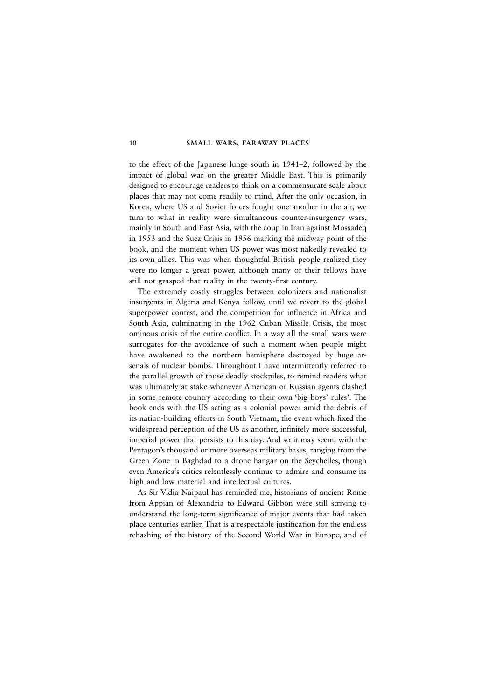to the effect of the Japanese lunge south in 1941–2, followed by the impact of global war on the greater Middle East. This is primarily designed to encourage readers to think on a commensurate scale about places that may not come readily to mind. After the only occasion, in Korea, where US and Soviet forces fought one another in the air, we turn to what in reality were simultaneous counter-insurgency wars, mainly in South and East Asia, with the coup in Iran against Mossadeq in 1953 and the Suez Crisis in 1956 marking the midway point of the book, and the moment when US power was most nakedly revealed to its own allies. This was when thoughtful British people realized they were no longer a great power, although many of their fellows have still not grasped that reality in the twenty-first century.

The extremely costly struggles between colonizers and nationalist insurgents in Algeria and Kenya follow, until we revert to the global superpower contest, and the competition for influence in Africa and South Asia, culminating in the 1962 Cuban Missile Crisis, the most ominous crisis of the entire conflict. In a way all the small wars were surrogates for the avoidance of such a moment when people might have awakened to the northern hemisphere destroyed by huge arsenals of nuclear bombs. Throughout I have intermittently referred to the parallel growth of those deadly stockpiles, to remind readers what was ultimately at stake whenever American or Russian agents clashed in some remote country according to their own 'big boys' rules'. The book ends with the US acting as a colonial power amid the debris of its nation-building efforts in South Vietnam, the event which fixed the widespread perception of the US as another, infinitely more successful, imperial power that persists to this day. And so it may seem, with the Pentagon's thousand or more overseas military bases, ranging from the Green Zone in Baghdad to a drone hangar on the Seychelles, though even America's critics relentlessly continue to admire and consume its high and low material and intellectual cultures.

As Sir Vidia Naipaul has reminded me, historians of ancient Rome from Appian of Alexandria to Edward Gibbon were still striving to understand the long-term significance of major events that had taken place centuries earlier. That is a respectable justification for the endless rehashing of the history of the Second World War in Europe, and of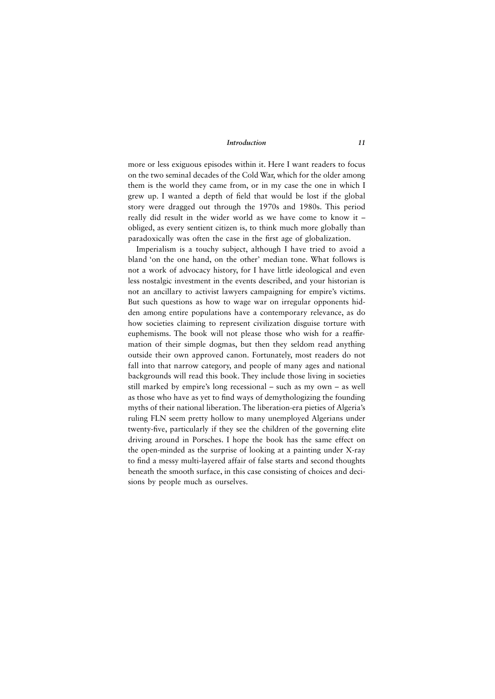#### *Introduction 11*

more or less exiguous episodes within it. Here I want readers to focus on the two seminal decades of the Cold War, which for the older among them is the world they came from, or in my case the one in which I grew up. I wanted a depth of field that would be lost if the global story were dragged out through the 1970s and 1980s. This period really did result in the wider world as we have come to know it – obliged, as every sentient citizen is, to think much more globally than paradoxically was often the case in the first age of globalization.

Imperialism is a touchy subject, although I have tried to avoid a bland 'on the one hand, on the other' median tone. What follows is not a work of advocacy history, for I have little ideological and even less nostalgic investment in the events described, and your historian is not an ancillary to activist lawyers campaigning for empire's victims. But such questions as how to wage war on irregular opponents hidden among entire populations have a contemporary relevance, as do how societies claiming to represent civilization disguise torture with euphemisms. The book will not please those who wish for a reaffirmation of their simple dogmas, but then they seldom read anything outside their own approved canon. Fortunately, most readers do not fall into that narrow category, and people of many ages and national backgrounds will read this book. They include those living in societies still marked by empire's long recessional – such as my own – as well as those who have as yet to find ways of demythologizing the founding myths of their national liberation. The liberation-era pieties of Algeria's ruling FLN seem pretty hollow to many unemployed Algerians under twenty-five, particularly if they see the children of the governing elite driving around in Porsches. I hope the book has the same effect on the open-minded as the surprise of looking at a painting under X-ray to find a messy multi-layered affair of false starts and second thoughts beneath the smooth surface, in this case consisting of choices and decisions by people much as ourselves.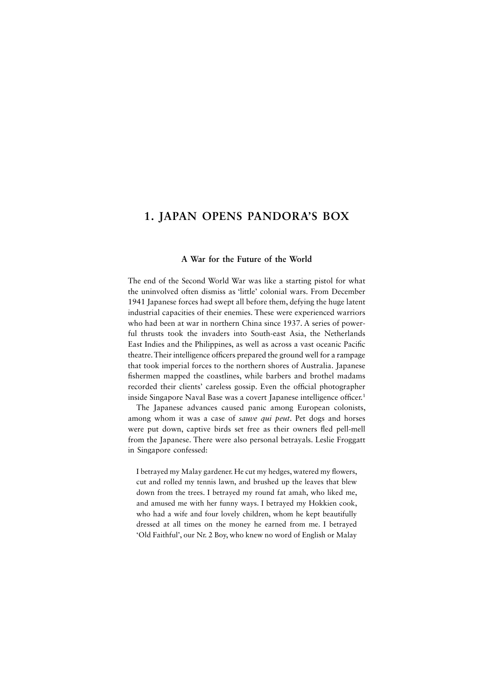# **1. JAPAN OPENS PANDORA'S BOX**

# **A War for the Future of the World**

The end of the Second World War was like a starting pistol for what the uninvolved often dismiss as 'little' colonial wars. From December 1941 Japanese forces had swept all before them, defying the huge latent industrial capacities of their enemies. These were experienced warriors who had been at war in northern China since 1937. A series of powerful thrusts took the invaders into South-east Asia, the Netherlands East Indies and the Philippines, as well as across a vast oceanic Pacific theatre. Their intelligence officers prepared the ground well for a rampage that took imperial forces to the northern shores of Australia. Japanese fishermen mapped the coastlines, while barbers and brothel madams recorded their clients' careless gossip. Even the official photographer inside Singapore Naval Base was a covert Japanese intelligence officer.1

The Japanese advances caused panic among European colonists, among whom it was a case of *sauve qui peut*. Pet dogs and horses were put down, captive birds set free as their owners fled pell-mell from the Japanese. There were also personal betrayals. Leslie Froggatt in Singapore confessed:

I betrayed my Malay gardener. He cut my hedges, watered my flowers, cut and rolled my tennis lawn, and brushed up the leaves that blew down from the trees. I betrayed my round fat amah, who liked me, and amused me with her funny ways. I betrayed my Hokkien cook, who had a wife and four lovely children, whom he kept beautifully dressed at all times on the money he earned from me. I betrayed 'Old Faithful', our Nr. 2 Boy, who knew no word of English or Malay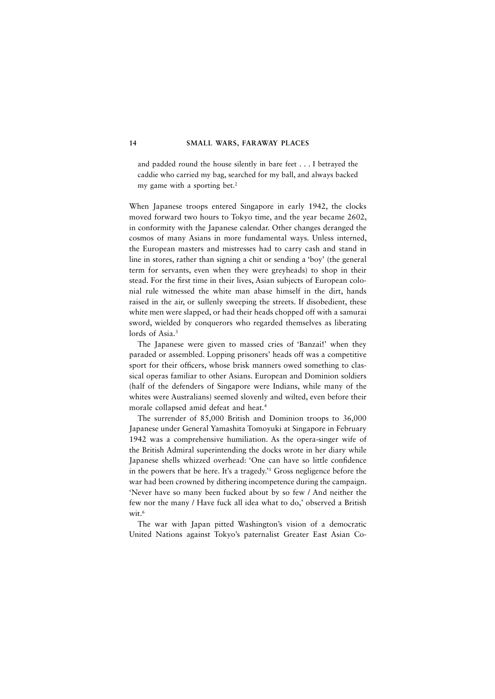and padded round the house silently in bare feet . . . I betrayed the caddie who carried my bag, searched for my ball, and always backed my game with a sporting bet.<sup>2</sup>

When Japanese troops entered Singapore in early 1942, the clocks moved forward two hours to Tokyo time, and the year became 2602, in conformity with the Japanese calendar. Other changes deranged the cosmos of many Asians in more fundamental ways. Unless interned, the European masters and mistresses had to carry cash and stand in line in stores, rather than signing a chit or sending a 'boy' (the general term for servants, even when they were greyheads) to shop in their stead. For the first time in their lives, Asian subjects of European colonial rule witnessed the white man abase himself in the dirt, hands raised in the air, or sullenly sweeping the streets. If disobedient, these white men were slapped, or had their heads chopped off with a samurai sword, wielded by conquerors who regarded themselves as liberating lords of Asia.<sup>3</sup>

The Japanese were given to massed cries of 'Banzai!' when they paraded or assembled. Lopping prisoners' heads off was a competitive sport for their officers, whose brisk manners owed something to classical operas familiar to other Asians. European and Dominion soldiers (half of the defenders of Singapore were Indians, while many of the whites were Australians) seemed slovenly and wilted, even before their morale collapsed amid defeat and heat*.* 4

The surrender of 85,000 British and Dominion troops to 36,000 Japanese under General Yamashita Tomoyuki at Singapore in February 1942 was a comprehensive humiliation. As the opera-singer wife of the British Admiral superintending the docks wrote in her diary while Japanese shells whizzed overhead: 'One can have so little confidence in the powers that be here. It's a tragedy.'5 Gross negligence before the war had been crowned by dithering incompetence during the campaign. 'Never have so many been fucked about by so few / And neither the few nor the many / Have fuck all idea what to do,' observed a British wit.<sup>6</sup>

The war with Japan pitted Washington's vision of a democratic United Nations against Tokyo's paternalist Greater East Asian Co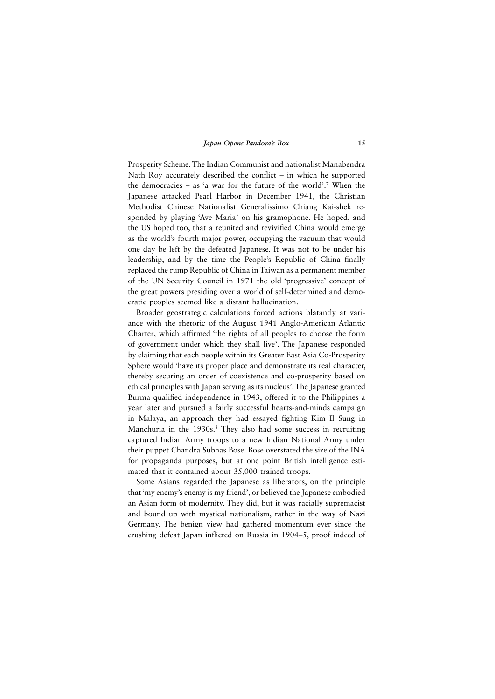Prosperity Scheme. The Indian Communist and nationalist Manabendra Nath Roy accurately described the conflict – in which he supported the democracies – as 'a war for the future of the world'.7 When the Japanese attacked Pearl Harbor in December 1941, the Christian Methodist Chinese Nationalist Generalissimo Chiang Kai-shek responded by playing 'Ave Maria' on his gramophone. He hoped, and the US hoped too, that a reunited and revivified China would emerge as the world's fourth major power, occupying the vacuum that would one day be left by the defeated Japanese. It was not to be under his leadership, and by the time the People's Republic of China finally replaced the rump Republic of China in Taiwan as a permanent member of the UN Security Council in 1971 the old 'progressive' concept of the great powers presiding over a world of self-determined and democratic peoples seemed like a distant hallucination.

Broader geostrategic calculations forced actions blatantly at variance with the rhetoric of the August 1941 Anglo-American Atlantic Charter, which affirmed 'the rights of all peoples to choose the form of government under which they shall live'. The Japanese responded by claiming that each people within its Greater East Asia Co-Prosperity Sphere would 'have its proper place and demonstrate its real character, thereby securing an order of coexistence and co-prosperity based on ethical principles with Japan serving as its nucleus'. The Japanese granted Burma qualified independence in 1943, offered it to the Philippines a year later and pursued a fairly successful hearts-and-minds campaign in Malaya, an approach they had essayed fighting Kim Il Sung in Manchuria in the 1930s.8 They also had some success in recruiting captured Indian Army troops to a new Indian National Army under their puppet Chandra Subhas Bose. Bose overstated the size of the INA for propaganda purposes, but at one point British intelligence estimated that it contained about 35,000 trained troops.

Some Asians regarded the Japanese as liberators, on the principle that 'my enemy's enemy is my friend', or believed the Japanese embodied an Asian form of modernity. They did, but it was racially supremacist and bound up with mystical nationalism, rather in the way of Nazi Germany. The benign view had gathered momentum ever since the crushing defeat Japan inflicted on Russia in 1904–5, proof indeed of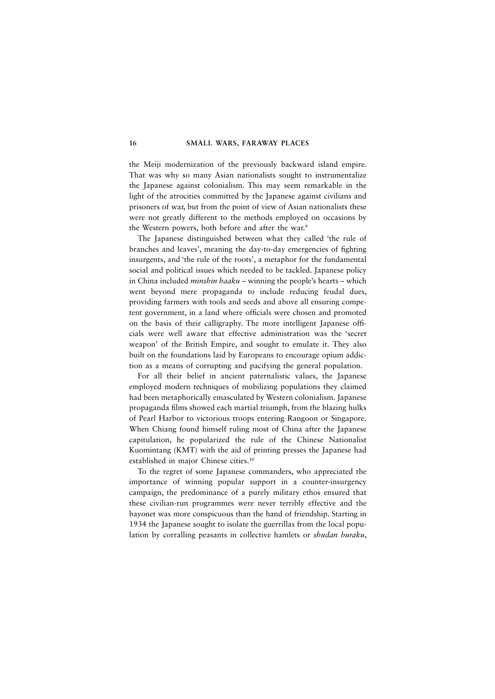the Meiji modernization of the previously backward island empire. That was why so many Asian nationalists sought to instrumentalize the Japanese against colonialism. This may seem remarkable in the light of the atrocities committed by the Japanese against civilians and prisoners of war, but from the point of view of Asian nationalists these were not greatly different to the methods employed on occasions by the Western powers, both before and after the war.<sup>9</sup>

The Japanese distinguished between what they called 'the rule of branches and leaves', meaning the day-to-day emergencies of fighting insurgents, and 'the rule of the roots', a metaphor for the fundamental social and political issues which needed to be tackled. Japanese policy in China included *minshin haaku* – winning the people's hearts – which went beyond mere propaganda to include reducing feudal dues, providing farmers with tools and seeds and above all ensuring competent government, in a land where officials were chosen and promoted on the basis of their calligraphy. The more intelligent Japanese officials were well aware that effective administration was the 'secret weapon' of the British Empire, and sought to emulate it. They also built on the foundations laid by Europeans to encourage opium addiction as a means of corrupting and pacifying the general population.

For all their belief in ancient paternalistic values, the Japanese employed modern techniques of mobilizing populations they claimed had been metaphorically emasculated by Western colonialism. Japanese propaganda films showed each martial triumph, from the blazing hulks of Pearl Harbor to victorious troops entering Rangoon or Singapore. When Chiang found himself ruling most of China after the Japanese capitulation, he popularized the rule of the Chinese Nationalist Kuomintang (KMT) with the aid of printing presses the Japanese had established in major Chinese cities.10

To the regret of some Japanese commanders, who appreciated the importance of winning popular support in a counter-insurgency campaign, the predominance of a purely military ethos ensured that these civilian-run programmes were never terribly effective and the bayonet was more conspicuous than the hand of friendship. Starting in 1934 the Japanese sought to isolate the guerrillas from the local population by corralling peasants in collective hamlets or *shudan buraku*,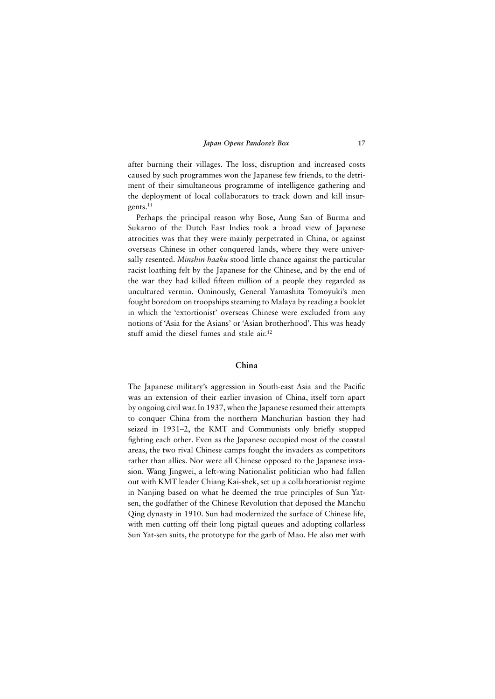after burning their villages. The loss, disruption and increased costs caused by such programmes won the Japanese few friends, to the detriment of their simultaneous programme of intelligence gathering and the deployment of local collaborators to track down and kill insurgents.<sup>11</sup>

Perhaps the principal reason why Bose, Aung San of Burma and Sukarno of the Dutch East Indies took a broad view of Japanese atrocities was that they were mainly perpetrated in China, or against overseas Chinese in other conquered lands, where they were universally resented. *Minshin haaku* stood little chance against the particular racist loathing felt by the Japanese for the Chinese, and by the end of the war they had killed fifteen million of a people they regarded as uncultured vermin. Ominously, General Yamashita Tomoyuki's men fought boredom on troopships steaming to Malaya by reading a booklet in which the 'extortionist' overseas Chinese were excluded from any notions of 'Asia for the Asians' or 'Asian brotherhood'. This was heady stuff amid the diesel fumes and stale air.12

# **China**

The Japanese military's aggression in South-east Asia and the Pacific was an extension of their earlier invasion of China, itself torn apart by ongoing civil war. In 1937, when the Japanese resumed their attempts to conquer China from the northern Manchurian bastion they had seized in 1931–2, the KMT and Communists only briefly stopped fighting each other. Even as the Japanese occupied most of the coastal areas, the two rival Chinese camps fought the invaders as competitors rather than allies. Nor were all Chinese opposed to the Japanese invasion. Wang Jingwei, a left-wing Nationalist politician who had fallen out with KMT leader Chiang Kai-shek, set up a collaborationist regime in Nanjing based on what he deemed the true principles of Sun Yatsen, the godfather of the Chinese Revolution that deposed the Manchu Qing dynasty in 1910. Sun had modernized the surface of Chinese life, with men cutting off their long pigtail queues and adopting collarless Sun Yat-sen suits, the prototype for the garb of Mao. He also met with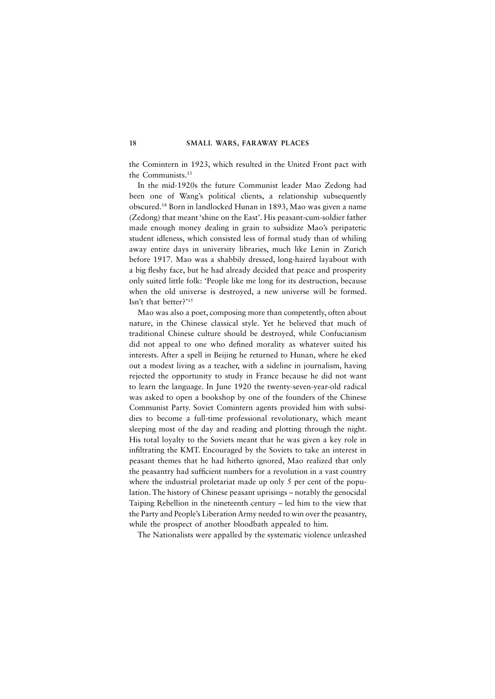the Comintern in 1923, which resulted in the United Front pact with the Communists<sup>13</sup>

In the mid-1920s the future Communist leader Mao Zedong had been one of Wang's political clients, a relationship subsequently obscured.14 Born in landlocked Hunan in 1893, Mao was given a name (Zedong) that meant 'shine on the East'. His peasant-cum-soldier father made enough money dealing in grain to subsidize Mao's peripatetic student idleness, which consisted less of formal study than of whiling away entire days in university libraries, much like Lenin in Zurich before 1917. Mao was a shabbily dressed, long-haired layabout with a big fleshy face, but he had already decided that peace and prosperity only suited little folk: 'People like me long for its destruction, because when the old universe is destroyed, a new universe will be formed. Isn't that better?'15

Mao was also a poet, composing more than competently, often about nature, in the Chinese classical style. Yet he believed that much of traditional Chinese culture should be destroyed, while Confucianism did not appeal to one who defined morality as whatever suited his interests. After a spell in Beijing he returned to Hunan, where he eked out a modest living as a teacher, with a sideline in journalism, having rejected the opportunity to study in France because he did not want to learn the language. In June 1920 the twenty-seven-year-old radical was asked to open a bookshop by one of the founders of the Chinese Communist Party. Soviet Comintern agents provided him with subsidies to become a full-time professional revolutionary, which meant sleeping most of the day and reading and plotting through the night. His total loyalty to the Soviets meant that he was given a key role in infiltrating the KMT. Encouraged by the Soviets to take an interest in peasant themes that he had hitherto ignored, Mao realized that only the peasantry had sufficient numbers for a revolution in a vast country where the industrial proletariat made up only 5 per cent of the population. The history of Chinese peasant uprisings – notably the genocidal Taiping Rebellion in the nineteenth century – led him to the view that the Party and People's Liberation Army needed to win over the peasantry, while the prospect of another bloodbath appealed to him.

The Nationalists were appalled by the systematic violence unleashed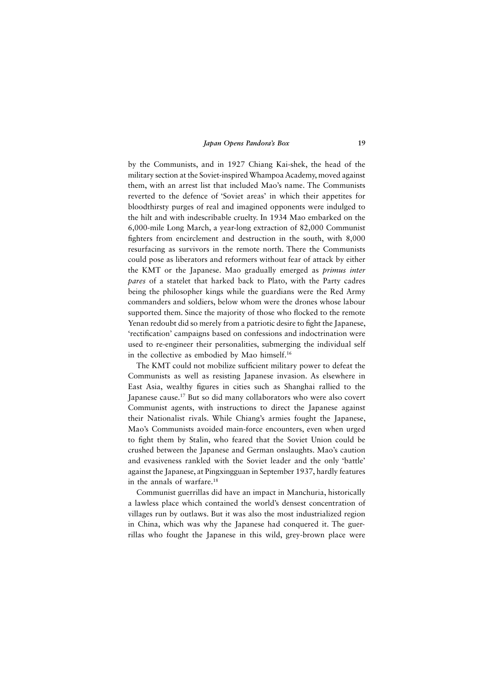by the Communists, and in 1927 Chiang Kai-shek, the head of the military section at the Soviet-inspired Whampoa Academy, moved against them, with an arrest list that included Mao's name. The Communists reverted to the defence of 'Soviet areas' in which their appetites for bloodthirsty purges of real and imagined opponents were indulged to the hilt and with indescribable cruelty. In 1934 Mao embarked on the 6,000-mile Long March, a year-long extraction of 82,000 Communist fighters from encirclement and destruction in the south, with 8,000 resurfacing as survivors in the remote north. There the Communists could pose as liberators and reformers without fear of attack by either the KMT or the Japanese. Mao gradually emerged as *primus inter pares* of a statelet that harked back to Plato, with the Party cadres being the philosopher kings while the guardians were the Red Army commanders and soldiers, below whom were the drones whose labour supported them. Since the majority of those who flocked to the remote Yenan redoubt did so merely from a patriotic desire to fight the Japanese, 'rectification' campaigns based on confessions and indoctrination were used to re-engineer their personalities, submerging the individual self in the collective as embodied by Mao himself.16

The KMT could not mobilize sufficient military power to defeat the Communists as well as resisting Japanese invasion. As elsewhere in East Asia, wealthy figures in cities such as Shanghai rallied to the Japanese cause.<sup>17</sup> But so did many collaborators who were also covert Communist agents, with instructions to direct the Japanese against their Nationalist rivals. While Chiang's armies fought the Japanese, Mao's Communists avoided main-force encounters, even when urged to fight them by Stalin, who feared that the Soviet Union could be crushed between the Japanese and German onslaughts. Mao's caution and evasiveness rankled with the Soviet leader and the only 'battle' against the Japanese, at Pingxingguan in September 1937, hardly features in the annals of warfare.<sup>18</sup>

Communist guerrillas did have an impact in Manchuria, historically a lawless place which contained the world's densest concentration of villages run by outlaws. But it was also the most industrialized region in China, which was why the Japanese had conquered it. The guerrillas who fought the Japanese in this wild, grey-brown place were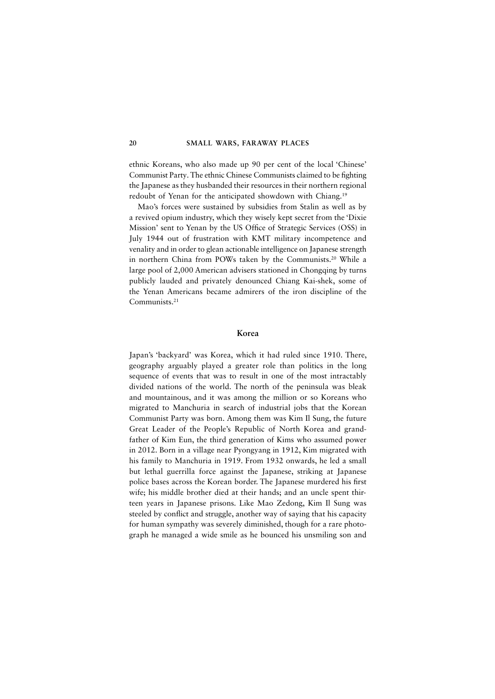ethnic Koreans, who also made up 90 per cent of the local 'Chinese' Communist Party. The ethnic Chinese Communists claimed to be fighting the Japanese as they husbanded their resources in their northern regional redoubt of Yenan for the anticipated showdown with Chiang.19

Mao's forces were sustained by subsidies from Stalin as well as by a revived opium industry, which they wisely kept secret from the 'Dixie Mission' sent to Yenan by the US Office of Strategic Services (OSS) in July 1944 out of frustration with KMT military incompetence and venality and in order to glean actionable intelligence on Japanese strength in northern China from POWs taken by the Communists.20 While a large pool of 2,000 American advisers stationed in Chongqing by turns publicly lauded and privately denounced Chiang Kai-shek, some of the Yenan Americans became admirers of the iron discipline of the Communists.21

## **Korea**

Japan's 'backyard' was Korea, which it had ruled since 1910. There, geography arguably played a greater role than politics in the long sequence of events that was to result in one of the most intractably divided nations of the world. The north of the peninsula was bleak and mountainous, and it was among the million or so Koreans who migrated to Manchuria in search of industrial jobs that the Korean Communist Party was born. Among them was Kim Il Sung, the future Great Leader of the People's Republic of North Korea and grandfather of Kim Eun, the third generation of Kims who assumed power in 2012. Born in a village near Pyongyang in 1912, Kim migrated with his family to Manchuria in 1919. From 1932 onwards, he led a small but lethal guerrilla force against the Japanese, striking at Japanese police bases across the Korean border. The Japanese murdered his first wife; his middle brother died at their hands; and an uncle spent thirteen years in Japanese prisons. Like Mao Zedong, Kim Il Sung was steeled by conflict and struggle, another way of saying that his capacity for human sympathy was severely diminished, though for a rare photograph he managed a wide smile as he bounced his unsmiling son and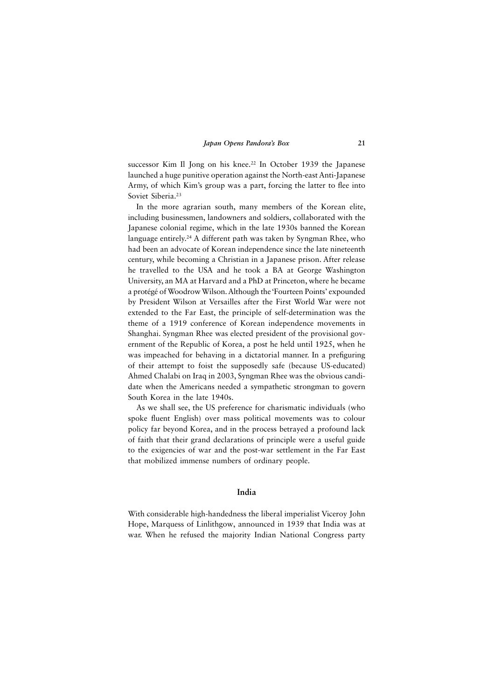successor Kim Il Jong on his knee.<sup>22</sup> In October 1939 the Japanese launched a huge punitive operation against the North-east Anti-Japanese Army, of which Kim's group was a part, forcing the latter to flee into Soviet Siberia.<sup>23</sup>

In the more agrarian south, many members of the Korean elite, including businessmen, landowners and soldiers, collaborated with the Japanese colonial regime, which in the late 1930s banned the Korean language entirely.<sup>24</sup> A different path was taken by Syngman Rhee, who had been an advocate of Korean independence since the late nineteenth century, while becoming a Christian in a Japanese prison. After release he travelled to the USA and he took a BA at George Washington University, an MA at Harvard and a PhD at Princeton, where he became a protégé of Woodrow Wilson. Although the 'Fourteen Points' expounded by President Wilson at Versailles after the First World War were not extended to the Far East, the principle of self-determination was the theme of a 1919 conference of Korean independence movements in Shanghai. Syngman Rhee was elected president of the provisional government of the Republic of Korea, a post he held until 1925, when he was impeached for behaving in a dictatorial manner. In a prefiguring of their attempt to foist the supposedly safe (because US-educated) Ahmed Chalabi on Iraq in 2003, Syngman Rhee was the obvious candidate when the Americans needed a sympathetic strongman to govern South Korea in the late 1940s.

As we shall see, the US preference for charismatic individuals (who spoke fluent English) over mass political movements was to colour policy far beyond Korea, and in the process betrayed a profound lack of faith that their grand declarations of principle were a useful guide to the exigencies of war and the post-war settlement in the Far East that mobilized immense numbers of ordinary people.

# **India**

With considerable high-handedness the liberal imperialist Viceroy John Hope, Marquess of Linlithgow, announced in 1939 that India was at war. When he refused the majority Indian National Congress party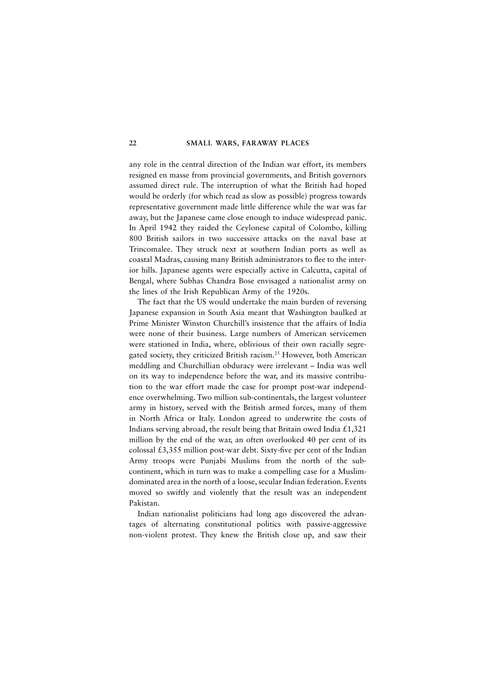any role in the central direction of the Indian war effort, its members resigned en masse from provincial governments, and British governors assumed direct rule. The interruption of what the British had hoped would be orderly (for which read as slow as possible) progress towards representative government made little difference while the war was far away, but the Japanese came close enough to induce widespread panic. In April 1942 they raided the Ceylonese capital of Colombo, killing 800 British sailors in two successive attacks on the naval base at Trincomalee. They struck next at southern Indian ports as well as coastal Madras, causing many British administrators to flee to the inter ior hills. Japanese agents were especially active in Calcutta, capital of Bengal, where Subhas Chandra Bose envisaged a nationalist army on the lines of the Irish Republican Army of the 1920s.

The fact that the US would undertake the main burden of reversing Japanese expansion in South Asia meant that Washington baulked at Prime Minister Winston Churchill's insistence that the affairs of India were none of their business. Large numbers of American servicemen were stationed in India, where, oblivious of their own racially segregated society, they criticized British racism.25 However, both American meddling and Churchillian obduracy were irrelevant – India was well on its way to independence before the war, and its massive contribution to the war effort made the case for prompt post-war independence overwhelming. Two million sub-continentals, the largest volunteer army in history, served with the British armed forces, many of them in North Africa or Italy. London agreed to underwrite the costs of Indians serving abroad, the result being that Britain owed India  $£1,321$ million by the end of the war, an often overlooked 40 per cent of its colossal £3,355 million post-war debt. Sixty-five per cent of the Indian Army troops were Punjabi Muslims from the north of the subcontinent, which in turn was to make a compelling case for a Muslimdominated area in the north of a loose, secular Indian federation. Events moved so swiftly and violently that the result was an independent Pakistan.

Indian nationalist politicians had long ago discovered the advantages of alternating constitutional politics with passive-aggressive non-violent protest. They knew the British close up, and saw their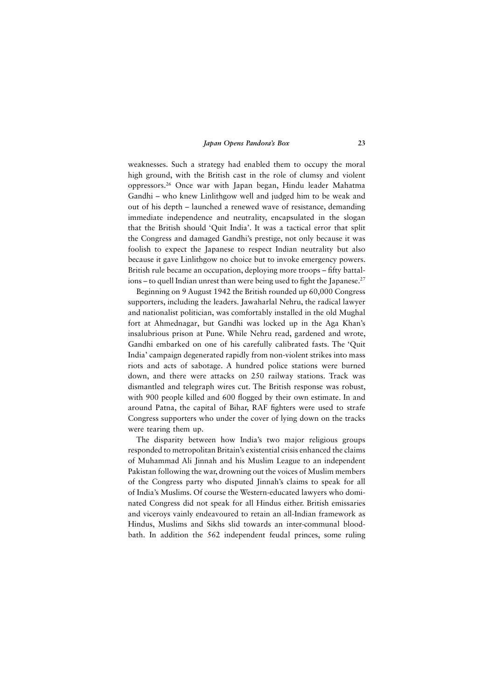weaknesses. Such a strategy had enabled them to occupy the moral high ground, with the British cast in the role of clumsy and violent oppressors.26 Once war with Japan began, Hindu leader Mahatma Gandhi – who knew Linlithgow well and judged him to be weak and out of his depth – launched a renewed wave of resistance, demanding immediate independence and neutrality, encapsulated in the slogan that the British should 'Quit India'. It was a tactical error that split the Congress and damaged Gandhi's prestige, not only because it was foolish to expect the Japanese to respect Indian neutrality but also because it gave Linlithgow no choice but to invoke emergency powers. British rule became an occupation, deploying more troops – fifty battalions – to quell Indian unrest than were being used to fight the Japanese.<sup>27</sup>

Beginning on 9 August 1942 the British rounded up 60,000 Congress supporters, including the leaders. Jawaharlal Nehru, the radical lawyer and nationalist politician, was comfortably installed in the old Mughal fort at Ahmednagar, but Gandhi was locked up in the Aga Khan's insalubrious prison at Pune. While Nehru read, gardened and wrote, Gandhi embarked on one of his carefully calibrated fasts. The 'Quit India' campaign degenerated rapidly from non-violent strikes into mass riots and acts of sabotage. A hundred police stations were burned down, and there were attacks on 250 railway stations. Track was dismantled and telegraph wires cut. The British response was robust, with 900 people killed and 600 flogged by their own estimate. In and around Patna, the capital of Bihar, RAF fighters were used to strafe Congress supporters who under the cover of lying down on the tracks were tearing them up.

The disparity between how India's two major religious groups responded to metropolitan Britain's existential crisis enhanced the claims of Muhammad Ali Jinnah and his Muslim League to an independent Pakistan following the war, drowning out the voices of Muslim members of the Congress party who disputed Jinnah's claims to speak for all of India's Muslims. Of course the Western-educated lawyers who dominated Congress did not speak for all Hindus either. British emissaries and viceroys vainly endeavoured to retain an all-Indian framework as Hindus, Muslims and Sikhs slid towards an inter-communal bloodbath. In addition the 562 independent feudal princes, some ruling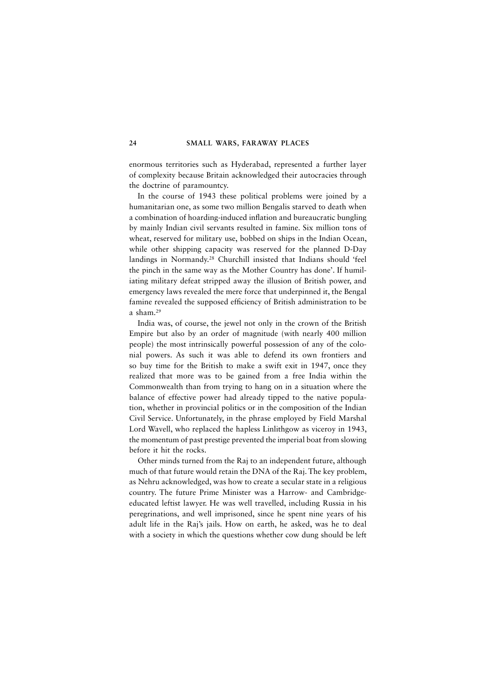enormous territories such as Hyderabad, represented a further layer of complexity because Britain acknowledged their autocracies through the doctrine of paramountcy.

In the course of 1943 these political problems were joined by a humanitarian one, as some two million Bengalis starved to death when a combination of hoarding-induced inflation and bureaucratic bungling by mainly Indian civil servants resulted in famine. Six million tons of wheat, reserved for military use, bobbed on ships in the Indian Ocean, while other shipping capacity was reserved for the planned D-Day landings in Normandy.28 Churchill insisted that Indians should 'feel the pinch in the same way as the Mother Country has done'. If humiliating military defeat stripped away the illusion of British power, and emergency laws revealed the mere force that underpinned it, the Bengal famine revealed the supposed efficiency of British administration to be a sham.29

India was, of course, the jewel not only in the crown of the British Empire but also by an order of magnitude (with nearly 400 million people) the most intrinsically powerful possession of any of the colonial powers. As such it was able to defend its own frontiers and so buy time for the British to make a swift exit in 1947, once they realized that more was to be gained from a free India within the Commonwealth than from trying to hang on in a situation where the balance of effective power had already tipped to the native population, whether in provincial politics or in the composition of the Indian Civil Service. Unfortunately, in the phrase employed by Field Marshal Lord Wavell, who replaced the hapless Linlithgow as viceroy in 1943, the momentum of past prestige prevented the imperial boat from slowing before it hit the rocks.

Other minds turned from the Raj to an independent future, although much of that future would retain the DNA of the Raj. The key problem, as Nehru acknowledged, was how to create a secular state in a religious country. The future Prime Minister was a Harrow- and Cambridgeeducated leftist lawyer. He was well travelled, including Russia in his peregrinations, and well imprisoned, since he spent nine years of his adult life in the Raj's jails. How on earth, he asked, was he to deal with a society in which the questions whether cow dung should be left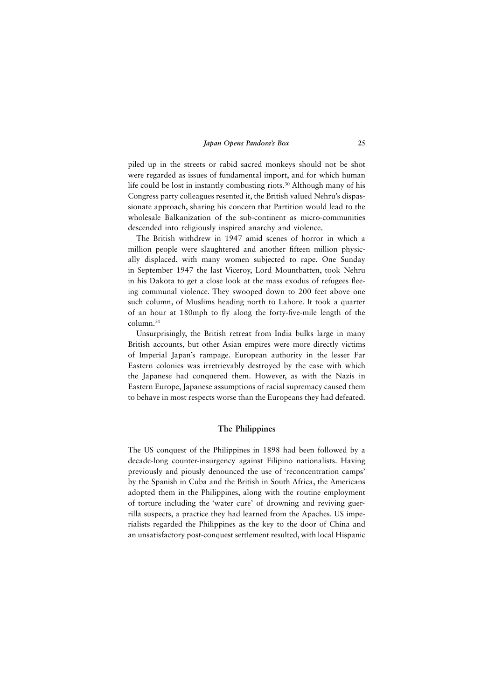piled up in the streets or rabid sacred monkeys should not be shot were regarded as issues of fundamental import, and for which human life could be lost in instantly combusting riots.30 Although many of his Congress party colleagues resented it, the British valued Nehru's dispassionate approach, sharing his concern that Partition would lead to the wholesale Balkanization of the sub-continent as micro-communities descended into religiously inspired anarchy and violence.

The British withdrew in 1947 amid scenes of horror in which a million people were slaughtered and another fifteen million physically displaced, with many women subjected to rape. One Sunday in September 1947 the last Viceroy, Lord Mountbatten, took Nehru in his Dakota to get a close look at the mass exodus of refugees fleeing communal violence. They swooped down to 200 feet above one such column, of Muslims heading north to Lahore. It took a quarter of an hour at 180mph to fly along the forty-five-mile length of the  $\text{column }^{31}$ 

Unsurprisingly, the British retreat from India bulks large in many British accounts, but other Asian empires were more directly victims of Imperial Japan's rampage. European authority in the lesser Far Eastern colonies was irretrievably destroyed by the ease with which the Japanese had conquered them. However, as with the Nazis in Eastern Europe, Japanese assumptions of racial supremacy caused them to behave in most respects worse than the Europeans they had defeated.

# **The Philippines**

The US conquest of the Philippines in 1898 had been followed by a decade-long counter-insurgency against Filipino nationalists. Having previously and piously denounced the use of 'reconcentration camps' by the Spanish in Cuba and the British in South Africa, the Americans adopted them in the Philippines, along with the routine employment of torture including the 'water cure' of drowning and reviving guerrilla suspects, a practice they had learned from the Apaches. US imperialists regarded the Philippines as the key to the door of China and an unsatisfactory post-conquest settlement resulted, with local Hispanic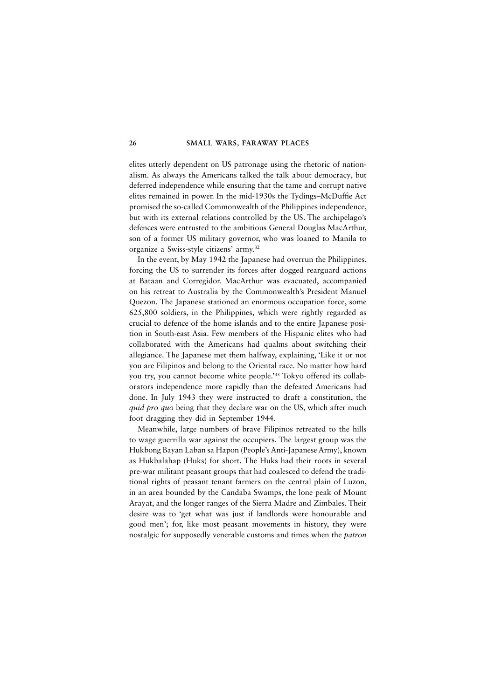elites utterly dependent on US patronage using the rhetoric of nationalism. As always the Americans talked the talk about democracy, but deferred independence while ensuring that the tame and corrupt native elites remained in power. In the mid-1930s the Tydings–McDuffie Act promised the so-called Commonwealth of the Philippines independence, but with its external relations controlled by the US. The archipelago's defences were entrusted to the ambitious General Douglas MacArthur, son of a former US military governor, who was loaned to Manila to organize a Swiss-style citizens' army.32

In the event, by May 1942 the Japanese had overrun the Philippines, forcing the US to surrender its forces after dogged rearguard actions at Bataan and Corregidor. MacArthur was evacuated, accompanied on his retreat to Australia by the Commonwealth's President Manuel Quezon. The Japanese stationed an enormous occupation force, some 625,800 soldiers, in the Philippines, which were rightly regarded as crucial to defence of the home islands and to the entire Japanese position in South-east Asia. Few members of the Hispanic elites who had collaborated with the Americans had qualms about switching their allegiance. The Japanese met them halfway, explaining, 'Like it or not you are Filipinos and belong to the Oriental race. No matter how hard you try, you cannot become white people.'33 Tokyo offered its collaborators independence more rapidly than the defeated Americans had done. In July 1943 they were instructed to draft a constitution, the *quid pro quo* being that they declare war on the US, which after much foot dragging they did in September 1944.

Meanwhile, large numbers of brave Filipinos retreated to the hills to wage guerrilla war against the occupiers. The largest group was the Hukbong Bayan Laban sa Hapon (People's Anti-Japanese Army), known as Hukbalahap (Huks) for short. The Huks had their roots in several pre-war militant peasant groups that had coalesced to defend the traditional rights of peasant tenant farmers on the central plain of Luzon, in an area bounded by the Candaba Swamps, the lone peak of Mount Arayat, and the longer ranges of the Sierra Madre and Zimbales. Their desire was to 'get what was just if landlords were honourable and good men'; for, like most peasant movements in history, they were nostalgic for supposedly venerable customs and times when the *patron*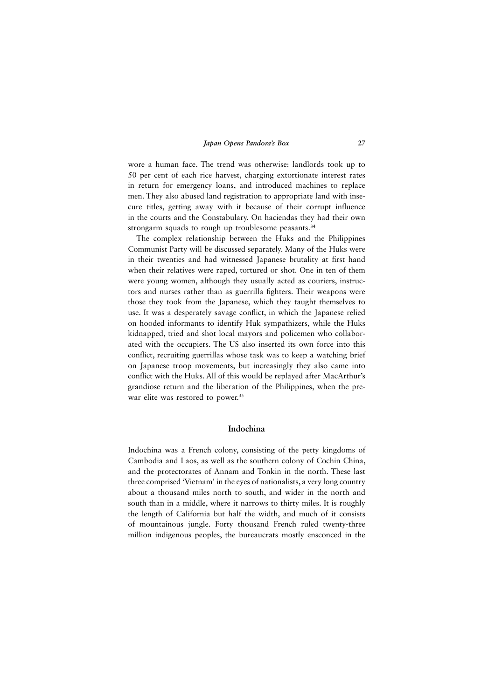wore a human face. The trend was otherwise: landlords took up to 50 per cent of each rice harvest, charging extortionate interest rates in return for emergency loans, and introduced machines to replace men. They also abused land registration to appropriate land with insecure titles, getting away with it because of their corrupt influence in the courts and the Constabulary. On haciendas they had their own strongarm squads to rough up troublesome peasants.<sup>34</sup>

The complex relationship between the Huks and the Philippines Communist Party will be discussed separately. Many of the Huks were in their twenties and had witnessed Japanese brutality at first hand when their relatives were raped, tortured or shot. One in ten of them were young women, although they usually acted as couriers, instructors and nurses rather than as guerrilla fighters. Their weapons were those they took from the Japanese, which they taught themselves to use. It was a desperately savage conflict, in which the Japanese relied on hooded informants to identify Huk sympathizers, while the Huks kidnapped, tried and shot local mayors and policemen who collaborated with the occupiers. The US also inserted its own force into this conflict, recruiting guerrillas whose task was to keep a watching brief on Japanese troop movements, but increasingly they also came into conflict with the Huks. All of this would be replayed after MacArthur's grandiose return and the liberation of the Philippines, when the prewar elite was restored to power.<sup>35</sup>

# **Indochina**

Indochina was a French colony, consisting of the petty kingdoms of Cambodia and Laos, as well as the southern colony of Cochin China, and the protectorates of Annam and Tonkin in the north. These last three comprised 'Vietnam' in the eyes of nationalists, a very long country about a thousand miles north to south, and wider in the north and south than in a middle, where it narrows to thirty miles. It is roughly the length of California but half the width, and much of it consists of mountainous jungle. Forty thousand French ruled twenty-three million indigenous peoples, the bureaucrats mostly ensconced in the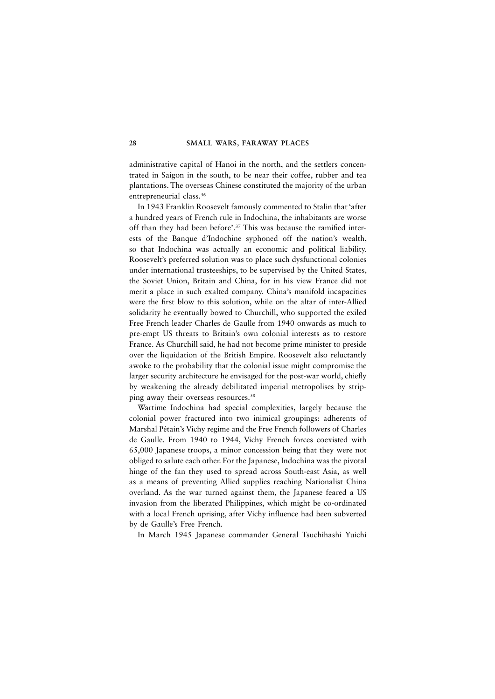administrative capital of Hanoi in the north, and the settlers concentrated in Saigon in the south, to be near their coffee, rubber and tea plantations. The overseas Chinese constituted the majority of the urban entrepreneurial class.36

In 1943 Franklin Roosevelt famously commented to Stalin that 'after a hundred years of French rule in Indochina, the inhabitants are worse off than they had been before'.37 This was because the ramified interests of the Banque d'Indochine syphoned off the nation's wealth, so that Indochina was actually an economic and political liability. Roosevelt's preferred solution was to place such dysfunctional colonies under international trusteeships, to be supervised by the United States, the Soviet Union, Britain and China, for in his view France did not merit a place in such exalted company. China's manifold incapacities were the first blow to this solution, while on the altar of inter-Allied solidarity he eventually bowed to Churchill, who supported the exiled Free French leader Charles de Gaulle from 1940 onwards as much to pre-empt US threats to Britain's own colonial interests as to restore France. As Churchill said, he had not become prime minister to preside over the liquidation of the British Empire. Roosevelt also reluctantly awoke to the probability that the colonial issue might compromise the larger security architecture he envisaged for the post-war world, chiefly by weakening the already debilitated imperial metropolises by stripping away their overseas resources.38

Wartime Indochina had special complexities, largely because the colonial power fractured into two inimical groupings: adherents of Marshal Pétain's Vichy regime and the Free French followers of Charles de Gaulle. From 1940 to 1944, Vichy French forces coexisted with 65,000 Japanese troops, a minor concession being that they were not obliged to salute each other. For the Japanese, Indochina was the pivotal hinge of the fan they used to spread across South-east Asia, as well as a means of preventing Allied supplies reaching Nationalist China overland. As the war turned against them, the Japanese feared a US invasion from the liberated Philippines, which might be co-ordinated with a local French uprising, after Vichy influence had been subverted by de Gaulle's Free French.

In March 1945 Japanese commander General Tsuchihashi Yuichi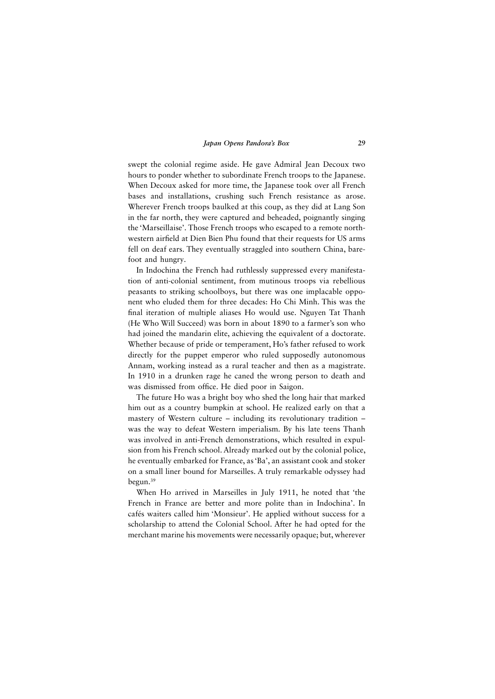swept the colonial regime aside. He gave Admiral Jean Decoux two hours to ponder whether to subordinate French troops to the Japanese. When Decoux asked for more time, the Japanese took over all French bases and installations, crushing such French resistance as arose. Wherever French troops baulked at this coup, as they did at Lang Son in the far north, they were captured and beheaded, poignantly singing the 'Marseillaise'. Those French troops who escaped to a remote northwestern airfield at Dien Bien Phu found that their requests for US arms fell on deaf ears. They eventually straggled into southern China, barefoot and hungry.

In Indochina the French had ruthlessly suppressed every manifestation of anti-colonial sentiment, from mutinous troops via rebellious peasants to striking schoolboys, but there was one implacable opponent who eluded them for three decades: Ho Chi Minh. This was the final iteration of multiple aliases Ho would use. Nguyen Tat Thanh (He Who Will Succeed) was born in about 1890 to a farmer's son who had joined the mandarin elite, achieving the equivalent of a doctorate. Whether because of pride or temperament, Ho's father refused to work directly for the puppet emperor who ruled supposedly autonomous Annam, working instead as a rural teacher and then as a magistrate. In 1910 in a drunken rage he caned the wrong person to death and was dismissed from office. He died poor in Saigon.

The future Ho was a bright boy who shed the long hair that marked him out as a country bumpkin at school. He realized early on that a mastery of Western culture – including its revolutionary tradition – was the way to defeat Western imperialism. By his late teens Thanh was involved in anti-French demonstrations, which resulted in expulsion from his French school. Already marked out by the colonial police, he eventually embarked for France, as 'Ba', an assistant cook and stoker on a small liner bound for Marseilles. A truly remarkable odyssey had begun.39

When Ho arrived in Marseilles in July 1911, he noted that 'the French in France are better and more polite than in Indochina'. In cafés waiters called him 'Monsieur'. He applied without success for a scholarship to attend the Colonial School. After he had opted for the merchant marine his movements were necessarily opaque; but, wherever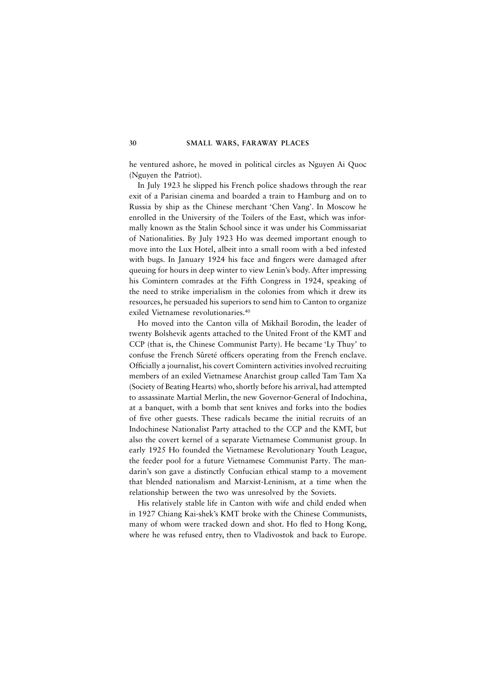he ventured ashore, he moved in political circles as Nguyen Ai Quoc (Nguyen the Patriot).

In July 1923 he slipped his French police shadows through the rear exit of a Parisian cinema and boarded a train to Hamburg and on to Russia by ship as the Chinese merchant 'Chen Vang'. In Moscow he enrolled in the University of the Toilers of the East, which was informally known as the Stalin School since it was under his Commissariat of Nationalities. By July 1923 Ho was deemed important enough to move into the Lux Hotel, albeit into a small room with a bed infested with bugs. In January 1924 his face and fingers were damaged after queuing for hours in deep winter to view Lenin's body. After impressing his Comintern comrades at the Fifth Congress in 1924, speaking of the need to strike imperialism in the colonies from which it drew its resources, he persuaded his superiors to send him to Canton to organize exiled Vietnamese revolutionaries.40

Ho moved into the Canton villa of Mikhail Borodin, the leader of twenty Bolshevik agents attached to the United Front of the KMT and CCP (that is, the Chinese Communist Party). He became 'Ly Thuy' to confuse the French Sûreté officers operating from the French enclave. Officially a journalist, his covert Comintern activities involved recruiting members of an exiled Vietnamese Anarchist group called Tam Tam Xa (Society of Beating Hearts) who, shortly before his arrival, had attempted to assassinate Martial Merlin, the new Governor-General of Indochina, at a banquet, with a bomb that sent knives and forks into the bodies of five other guests. These radicals became the initial recruits of an Indochinese Nationalist Party attached to the CCP and the KMT, but also the covert kernel of a separate Vietnamese Communist group. In early 1925 Ho founded the Vietnamese Revolutionary Youth League, the feeder pool for a future Vietnamese Communist Party. The man darin's son gave a distinctly Confucian ethical stamp to a movement that blended nationalism and Marxist-Leninism, at a time when the relationship between the two was unresolved by the Soviets.

His relatively stable life in Canton with wife and child ended when in 1927 Chiang Kai-shek's KMT broke with the Chinese Communists, many of whom were tracked down and shot. Ho fled to Hong Kong, where he was refused entry, then to Vladivostok and back to Europe.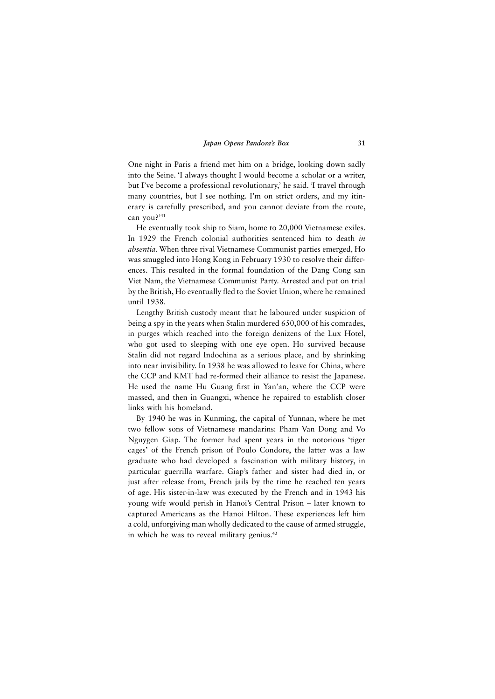One night in Paris a friend met him on a bridge, looking down sadly into the Seine. 'I always thought I would become a scholar or a writer, but I've become a professional revolutionary,' he said. 'I travel through many countries, but I see nothing. I'm on strict orders, and my itinerary is carefully prescribed, and you cannot deviate from the route, can you?'<sup>41</sup>

He eventually took ship to Siam, home to 20,000 Vietnamese exiles. In 1929 the French colonial authorities sentenced him to death *in absentia*. When three rival Vietnamese Communist parties emerged, Ho was smuggled into Hong Kong in February 1930 to resolve their differences. This resulted in the formal foundation of the Dang Cong san Viet Nam, the Vietnamese Communist Party. Arrested and put on trial by the British, Ho eventually fled to the Soviet Union, where he remained until 1938.

Lengthy British custody meant that he laboured under suspicion of being a spy in the years when Stalin murdered 650,000 of his comrades, in purges which reached into the foreign denizens of the Lux Hotel, who got used to sleeping with one eye open. Ho survived because Stalin did not regard Indochina as a serious place, and by shrinking into near invisibility. In 1938 he was allowed to leave for China, where the CCP and KMT had re-formed their alliance to resist the Japanese. He used the name Hu Guang first in Yan'an, where the CCP were massed, and then in Guangxi, whence he repaired to establish closer links with his homeland.

By 1940 he was in Kunming, the capital of Yunnan, where he met two fellow sons of Vietnamese mandarins: Pham Van Dong and Vo Nguygen Giap. The former had spent years in the notorious 'tiger cages' of the French prison of Poulo Condore, the latter was a law graduate who had developed a fascination with military history, in particular guerrilla warfare. Giap's father and sister had died in, or just after release from, French jails by the time he reached ten years of age. His sister-in-law was executed by the French and in 1943 his young wife would perish in Hanoi's Central Prison – later known to captured Americans as the Hanoi Hilton. These experiences left him a cold, unforgiving man wholly dedicated to the cause of armed struggle, in which he was to reveal military genius.<sup>42</sup>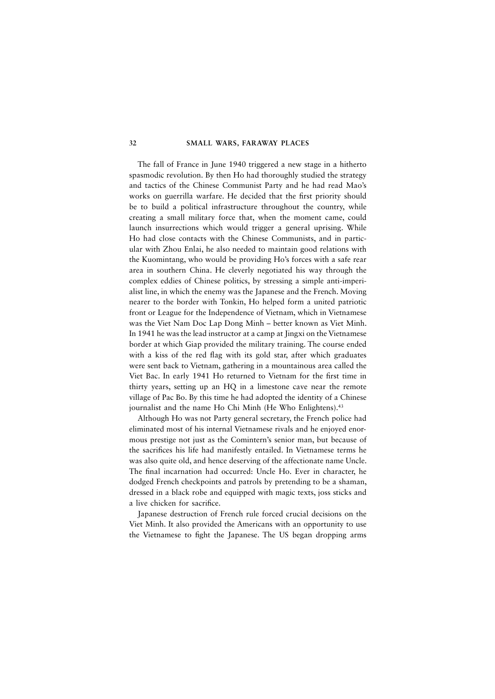The fall of France in June 1940 triggered a new stage in a hitherto spasmodic revolution. By then Ho had thoroughly studied the strategy and tactics of the Chinese Communist Party and he had read Mao's works on guerrilla warfare. He decided that the first priority should be to build a political infrastructure throughout the country, while creating a small military force that, when the moment came, could launch insurrections which would trigger a general uprising. While Ho had close contacts with the Chinese Communists, and in particular with Zhou Enlai, he also needed to maintain good relations with the Kuomintang, who would be providing Ho's forces with a safe rear area in southern China. He cleverly negotiated his way through the complex eddies of Chinese politics, by stressing a simple anti-imperialist line, in which the enemy was the Japanese and the French. Moving nearer to the border with Tonkin, Ho helped form a united patriotic front or League for the Independence of Vietnam, which in Vietnamese was the Viet Nam Doc Lap Dong Minh – better known as Viet Minh. In 1941 he was the lead instructor at a camp at Jingxi on the Vietnamese border at which Giap provided the military training. The course ended with a kiss of the red flag with its gold star, after which graduates were sent back to Vietnam, gathering in a mountainous area called the Viet Bac. In early 1941 Ho returned to Vietnam for the first time in thirty years, setting up an HQ in a limestone cave near the remote village of Pac Bo. By this time he had adopted the identity of a Chinese journalist and the name Ho Chi Minh (He Who Enlightens).<sup>43</sup>

Although Ho was not Party general secretary, the French police had eliminated most of his internal Vietnamese rivals and he enjoyed enormous prestige not just as the Comintern's senior man, but because of the sacrifices his life had manifestly entailed. In Vietnamese terms he was also quite old, and hence deserving of the affectionate name Uncle. The final incarnation had occurred: Uncle Ho. Ever in character, he dodged French checkpoints and patrols by pretending to be a shaman, dressed in a black robe and equipped with magic texts, joss sticks and a live chicken for sacrifice.

Japanese destruction of French rule forced crucial decisions on the Viet Minh. It also provided the Americans with an opportunity to use the Vietnamese to fight the Japanese. The US began dropping arms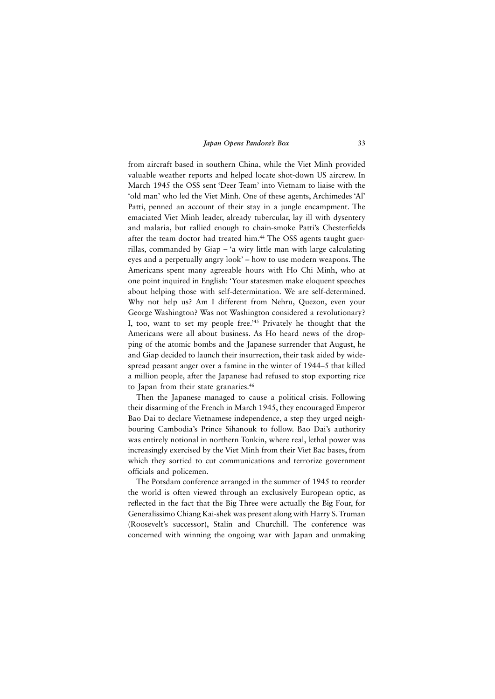from aircraft based in southern China, while the Viet Minh provided valuable weather reports and helped locate shot-down US aircrew. In March 1945 the OSS sent 'Deer Team' into Vietnam to liaise with the 'old man' who led the Viet Minh. One of these agents, Archimedes 'Al' Patti, penned an account of their stay in a jungle encampment. The emaciated Viet Minh leader, already tubercular, lay ill with dysentery and malaria, but rallied enough to chain-smoke Patti's Chesterfields after the team doctor had treated him.<sup>44</sup> The OSS agents taught guerrillas, commanded by Giap – 'a wiry little man with large calculating eyes and a perpetually angry look' – how to use modern weapons. The Americans spent many agreeable hours with Ho Chi Minh, who at one point inquired in English: 'Your statesmen make eloquent speeches about helping those with self-determination. We are self-determined. Why not help us? Am I different from Nehru, Quezon, even your George Washington? Was not Washington considered a revolutionary? I, too, want to set my people free.'45 Privately he thought that the Americans were all about business. As Ho heard news of the dropping of the atomic bombs and the Japanese surrender that August, he and Giap decided to launch their insurrection, their task aided by widespread peasant anger over a famine in the winter of 1944–5 that killed a million people, after the Japanese had refused to stop exporting rice to Japan from their state granaries.<sup>46</sup>

Then the Japanese managed to cause a political crisis. Following their disarming of the French in March 1945, they encouraged Emperor Bao Dai to declare Vietnamese independence, a step they urged neighbouring Cambodia's Prince Sihanouk to follow. Bao Dai's authority was entirely notional in northern Tonkin, where real, lethal power was increasingly exercised by the Viet Minh from their Viet Bac bases, from which they sortied to cut communications and terrorize government officials and policemen.

The Potsdam conference arranged in the summer of 1945 to reorder the world is often viewed through an exclusively European optic, as reflected in the fact that the Big Three were actually the Big Four, for Generalissimo Chiang Kai-shek was present along with Harry S. Truman (Roosevelt's successor), Stalin and Churchill. The conference was concerned with winning the ongoing war with Japan and unmaking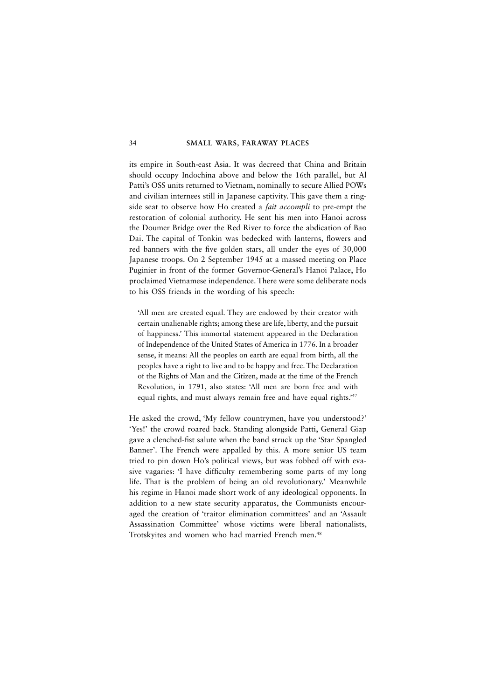its empire in South-east Asia. It was decreed that China and Britain should occupy Indochina above and below the 16th parallel, but Al Patti's OSS units returned to Vietnam, nominally to secure Allied POWs and civilian internees still in Japanese captivity. This gave them a ringside seat to observe how Ho created a *fait accompli* to pre-empt the restoration of colonial authority. He sent his men into Hanoi across the Doumer Bridge over the Red River to force the abdication of Bao Dai. The capital of Tonkin was bedecked with lanterns, flowers and red banners with the five golden stars, all under the eyes of 30,000 Japanese troops. On 2 September 1945 at a massed meeting on Place Puginier in front of the former Governor-General's Hanoi Palace, Ho proclaimed Vietnamese independence. There were some deliberate nods to his OSS friends in the wording of his speech:

'All men are created equal. They are endowed by their creator with certain unalienable rights; among these are life, liberty, and the pursuit of happiness.' This immortal statement appeared in the Declaration of Independence of the United States of America in 1776. In a broader sense, it means: All the peoples on earth are equal from birth, all the peoples have a right to live and to be happy and free. The Declaration of the Rights of Man and the Citizen, made at the time of the French Revolution, in 1791, also states: 'All men are born free and with equal rights, and must always remain free and have equal rights.<sup>247</sup>

He asked the crowd, 'My fellow countrymen, have you understood?' 'Yes!' the crowd roared back. Standing alongside Patti, General Giap gave a clenched-fist salute when the band struck up the 'Star Spangled Banner'. The French were appalled by this. A more senior US team tried to pin down Ho's political views, but was fobbed off with eva sive vagaries: 'I have difficulty remembering some parts of my long life. That is the problem of being an old revolutionary.' Meanwhile his regime in Hanoi made short work of any ideological opponents. In addition to a new state security apparatus, the Communists encouraged the creation of 'traitor elimination committees' and an 'Assault Assassination Committee' whose victims were liberal nationalists, Trotskyites and women who had married French men.<sup>48</sup>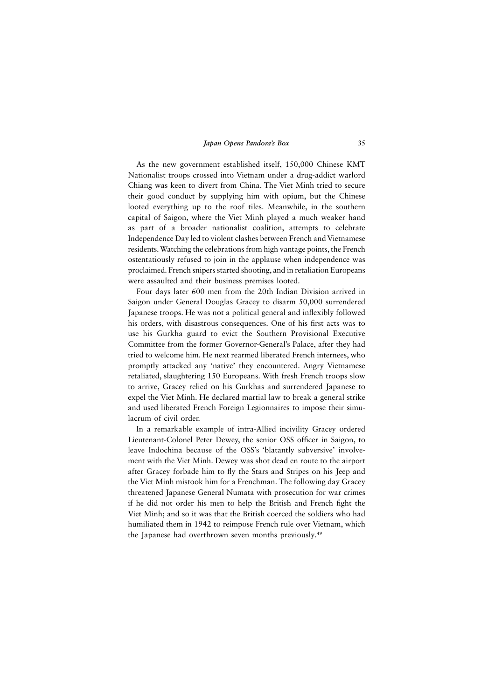As the new government established itself, 150,000 Chinese KMT Nationalist troops crossed into Vietnam under a drug-addict warlord Chiang was keen to divert from China. The Viet Minh tried to secure their good conduct by supplying him with opium, but the Chinese looted everything up to the roof tiles. Meanwhile, in the southern capital of Saigon, where the Viet Minh played a much weaker hand as part of a broader nationalist coalition, attempts to celebrate Independence Day led to violent clashes between French and Vietnamese residents. Watching the celebrations from high vantage points, the French ostentatiously refused to join in the applause when independence was proclaimed. French snipers started shooting, and in retaliation Europeans were assaulted and their business premises looted.

Four days later 600 men from the 20th Indian Division arrived in Saigon under General Douglas Gracey to disarm 50,000 surrendered Japanese troops. He was not a political general and inflexibly followed his orders, with disastrous consequences. One of his first acts was to use his Gurkha guard to evict the Southern Provisional Executive Committee from the former Governor-General's Palace, after they had tried to welcome him. He next rearmed liberated French internees, who promptly attacked any 'native' they encountered. Angry Vietnamese retaliated, slaughtering 150 Europeans. With fresh French troops slow to arrive, Gracey relied on his Gurkhas and surrendered Japanese to expel the Viet Minh. He declared martial law to break a general strike and used liberated French Foreign Legionnaires to impose their simulacrum of civil order.

In a remarkable example of intra-Allied incivility Gracey ordered Lieutenant-Colonel Peter Dewey, the senior OSS officer in Saigon, to leave Indochina because of the OSS's 'blatantly subversive' involvement with the Viet Minh. Dewey was shot dead en route to the airport after Gracey forbade him to fly the Stars and Stripes on his Jeep and the Viet Minh mistook him for a Frenchman. The following day Gracey threatened Japanese General Numata with prosecution for war crimes if he did not order his men to help the British and French fight the Viet Minh; and so it was that the British coerced the soldiers who had humiliated them in 1942 to reimpose French rule over Vietnam, which the Japanese had overthrown seven months previously.49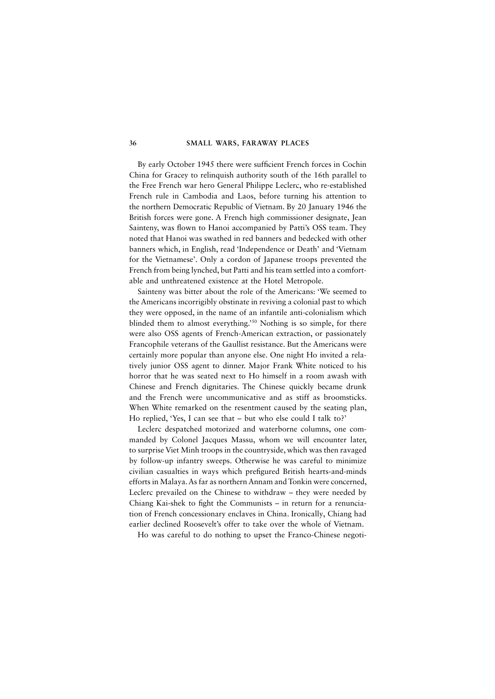By early October 1945 there were sufficient French forces in Cochin China for Gracey to relinquish authority south of the 16th parallel to the Free French war hero General Philippe Leclerc, who re-established French rule in Cambodia and Laos, before turning his attention to the northern Democratic Republic of Vietnam. By 20 January 1946 the British forces were gone. A French high commissioner designate, Jean Sainteny, was flown to Hanoi accompanied by Patti's OSS team. They noted that Hanoi was swathed in red banners and bedecked with other banners which, in English, read 'Independence or Death' and 'Vietnam for the Vietnamese'. Only a cordon of Japanese troops prevented the French from being lynched, but Patti and his team settled into a comfortable and unthreatened existence at the Hotel Metropole.

Sainteny was bitter about the role of the Americans: 'We seemed to the Americans incorrigibly obstinate in reviving a colonial past to which they were opposed, in the name of an infantile anti-colonialism which blinded them to almost everything.'50 Nothing is so simple, for there were also OSS agents of French-American extraction, or passionately Francophile veterans of the Gaullist resistance. But the Americans were certainly more popular than anyone else. One night Ho invited a relatively junior OSS agent to dinner. Major Frank White noticed to his horror that he was seated next to Ho himself in a room awash with Chinese and French dignitaries. The Chinese quickly became drunk and the French were uncommunicative and as stiff as broomsticks. When White remarked on the resentment caused by the seating plan, Ho replied, 'Yes, I can see that – but who else could I talk to?'

Leclerc despatched motorized and waterborne columns, one commanded by Colonel Jacques Massu, whom we will encounter later, to surprise Viet Minh troops in the countryside, which was then ravaged by follow-up infantry sweeps. Otherwise he was careful to minimize civilian casualties in ways which prefigured British hearts-and-minds efforts in Malaya. As far as northern Annam and Tonkin were concerned, Leclerc prevailed on the Chinese to withdraw – they were needed by Chiang Kai-shek to fight the Communists – in return for a renunciation of French concessionary enclaves in China. Ironically, Chiang had earlier declined Roosevelt's offer to take over the whole of Vietnam.

Ho was careful to do nothing to upset the Franco-Chinese negoti-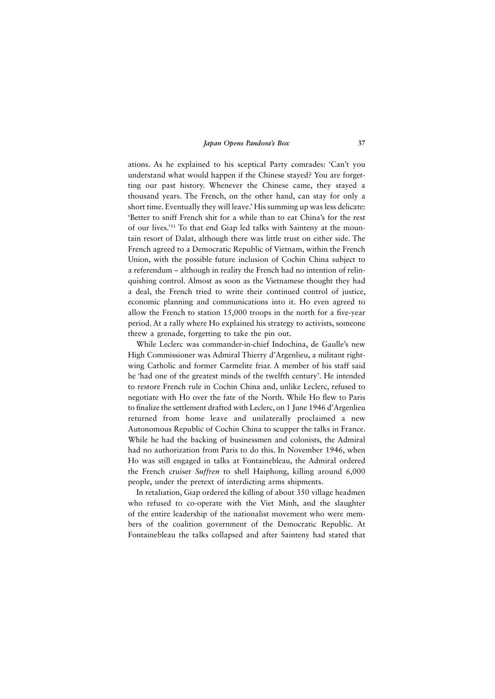ations. As he explained to his sceptical Party comrades: 'Can't you understand what would happen if the Chinese stayed? You are forgetting our past history. Whenever the Chinese came, they stayed a thousand years. The French, on the other hand, can stay for only a short time. Eventually they will leave.' His summing up was less delicate: 'Better to sniff French shit for a while than to eat China's for the rest of our lives.'51 To that end Giap led talks with Sainteny at the mountain resort of Dalat, although there was little trust on either side. The French agreed to a Democratic Republic of Vietnam, within the French Union, with the possible future inclusion of Cochin China subject to a referendum – although in reality the French had no intention of relinquishing control. Almost as soon as the Vietnamese thought they had a deal, the French tried to write their continued control of justice, economic planning and communications into it. Ho even agreed to allow the French to station 15,000 troops in the north for a five-year period. At a rally where Ho explained his strategy to activists, someone threw a grenade, forgetting to take the pin out.

While Leclerc was commander-in-chief Indochina, de Gaulle's new High Commissioner was Admiral Thierry d'Argenlieu, a militant rightwing Catholic and former Carmelite friar. A member of his staff said he 'had one of the greatest minds of the twelfth century'. He intended to restore French rule in Cochin China and, unlike Leclerc, refused to negotiate with Ho over the fate of the North. While Ho flew to Paris to finalize the settlement drafted with Leclerc, on 1 June 1946 d'Argenlieu returned from home leave and unilaterally proclaimed a new Autonomous Republic of Cochin China to scupper the talks in France. While he had the backing of businessmen and colonists, the Admiral had no authorization from Paris to do this. In November 1946, when Ho was still engaged in talks at Fontainebleau, the Admiral ordered the French cruiser *Suffren* to shell Haiphong, killing around 6,000 people, under the pretext of interdicting arms shipments.

In retaliation, Giap ordered the killing of about 350 village headmen who refused to co-operate with the Viet Minh, and the slaughter of the entire leadership of the nationalist movement who were mem bers of the coalition government of the Democratic Republic. At Fontainebleau the talks collapsed and after Sainteny had stated that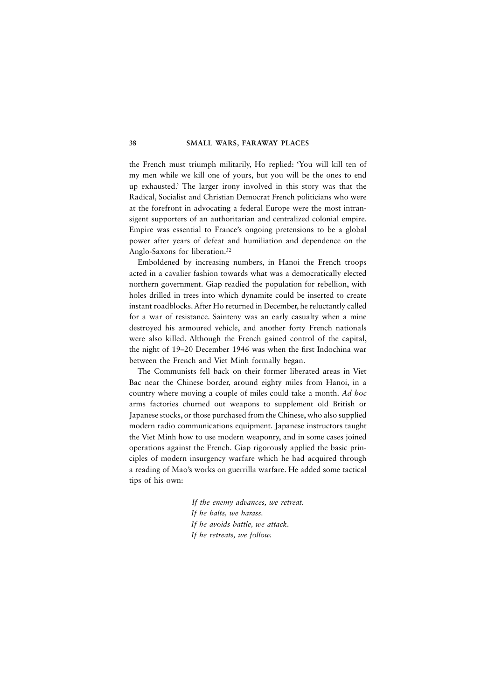the French must triumph militarily, Ho replied: 'You will kill ten of my men while we kill one of yours, but you will be the ones to end up exhausted.' The larger irony involved in this story was that the Radical, Socialist and Christian Democrat French politicians who were at the forefront in advocating a federal Europe were the most intransigent supporters of an authoritarian and centralized colonial empire. Empire was essential to France's ongoing pretensions to be a global power after years of defeat and humiliation and dependence on the Anglo-Saxons for liberation.<sup>52</sup>

Emboldened by increasing numbers, in Hanoi the French troops acted in a cavalier fashion towards what was a democratically elected northern government. Giap readied the population for rebellion, with holes drilled in trees into which dynamite could be inserted to create instant roadblocks. After Ho returned in December, he reluctantly called for a war of resistance. Sainteny was an early casualty when a mine destroyed his armoured vehicle, and another forty French nationals were also killed. Although the French gained control of the capital, the night of 19–20 December 1946 was when the first Indochina war between the French and Viet Minh formally began.

The Communists fell back on their former liberated areas in Viet Bac near the Chinese border, around eighty miles from Hanoi, in a country where moving a couple of miles could take a month. *Ad hoc* arms factories churned out weapons to supplement old British or Japanese stocks, or those purchased from the Chinese, who also supplied modern radio communications equipment. Japanese instructors taught the Viet Minh how to use modern weaponry, and in some cases joined operations against the French. Giap rigorously applied the basic principles of modern insurgency warfare which he had acquired through a reading of Mao's works on guerrilla warfare. He added some tactical tips of his own:

> *If the enemy advances, we retreat. If he halts, we harass. If he avoids battle, we attack. If he retreats, we follow.*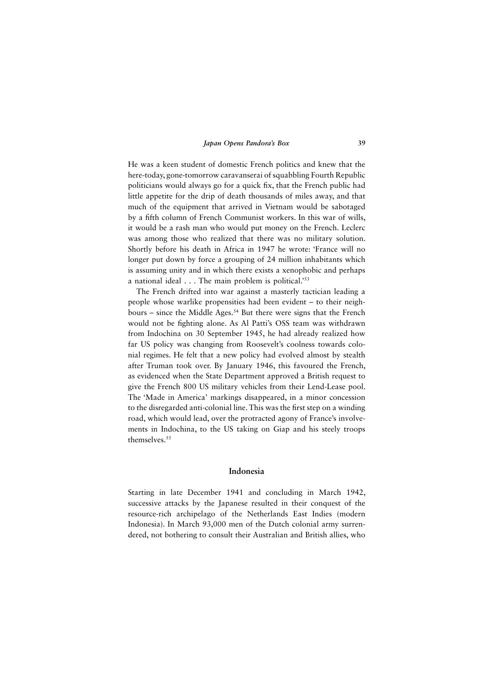He was a keen student of domestic French politics and knew that the here-today, gone-tomorrow caravanserai of squabbling Fourth Republic politicians would always go for a quick fix, that the French public had little appetite for the drip of death thousands of miles away, and that much of the equipment that arrived in Vietnam would be sabotaged by a fifth column of French Communist workers. In this war of wills, it would be a rash man who would put money on the French. Leclerc was among those who realized that there was no military solution. Shortly before his death in Africa in 1947 he wrote: 'France will no longer put down by force a grouping of 24 million inhabitants which is assuming unity and in which there exists a xenophobic and perhaps a national ideal . . . The main problem is political.'53

The French drifted into war against a masterly tactician leading a people whose warlike propensities had been evident – to their neighbours – since the Middle Ages.<sup>54</sup> But there were signs that the French would not be fighting alone. As Al Patti's OSS team was withdrawn from Indochina on 30 September 1945, he had already realized how far US policy was changing from Roosevelt's coolness towards colonial regimes. He felt that a new policy had evolved almost by stealth after Truman took over. By January 1946, this favoured the French, as evidenced when the State Department approved a British request to give the French 800 US military vehicles from their Lend-Lease pool. The 'Made in America' markings disappeared, in a minor concession to the disregarded anti-colonial line. This was the first step on a winding road, which would lead, over the protracted agony of France's involvements in Indochina, to the US taking on Giap and his steely troops themselves.<sup>55</sup>

# **Indonesia**

Starting in late December 1941 and concluding in March 1942, successive attacks by the Japanese resulted in their conquest of the resource-rich archipelago of the Netherlands East Indies (modern Indonesia). In March 93,000 men of the Dutch colonial army surrendered, not bothering to consult their Australian and British allies, who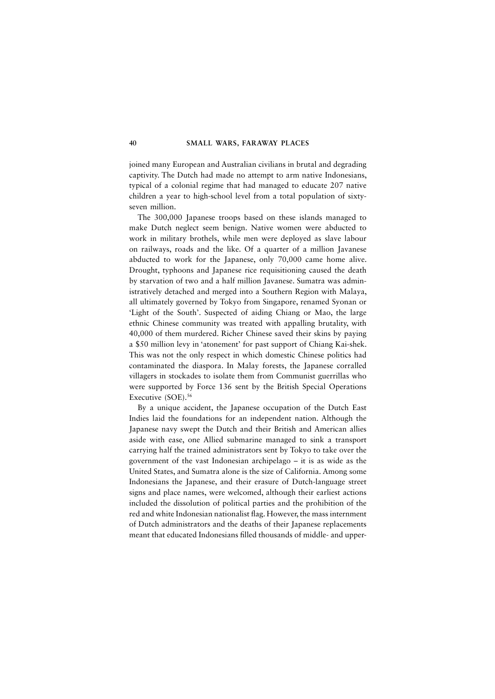joined many European and Australian civilians in brutal and degrading captivity. The Dutch had made no attempt to arm native Indonesians, typical of a colonial regime that had managed to educate 207 native children a year to high-school level from a total population of sixtyseven million.

The 300,000 Japanese troops based on these islands managed to make Dutch neglect seem benign. Native women were abducted to work in military brothels, while men were deployed as slave labour on railways, roads and the like. Of a quarter of a million Javanese abducted to work for the Japanese, only 70,000 came home alive. Drought, typhoons and Japanese rice requisitioning caused the death by starvation of two and a half million Javanese. Sumatra was administratively detached and merged into a Southern Region with Malaya, all ultimately governed by Tokyo from Singapore, renamed Syonan or 'Light of the South'. Suspected of aiding Chiang or Mao, the large ethnic Chinese community was treated with appalling brutality, with 40,000 of them murdered. Richer Chinese saved their skins by paying a \$50 million levy in 'atonement' for past support of Chiang Kai-shek. This was not the only respect in which domestic Chinese politics had contaminated the diaspora. In Malay forests, the Japanese corralled villagers in stockades to isolate them from Communist guerrillas who were supported by Force 136 sent by the British Special Operations Executive (SOE).<sup>56</sup>

By a unique accident, the Japanese occupation of the Dutch East Indies laid the foundations for an independent nation. Although the Japanese navy swept the Dutch and their British and American allies aside with ease, one Allied submarine managed to sink a transport carrying half the trained administrators sent by Tokyo to take over the government of the vast Indonesian archipelago – it is as wide as the United States, and Sumatra alone is the size of California. Among some Indonesians the Japanese, and their erasure of Dutch-language street signs and place names, were welcomed, although their earliest actions included the dissolution of political parties and the prohibition of the red and white Indonesian nationalist flag. However, the mass internment of Dutch administrators and the deaths of their Japanese replacements meant that educated Indonesians filled thousands of middle- and upper-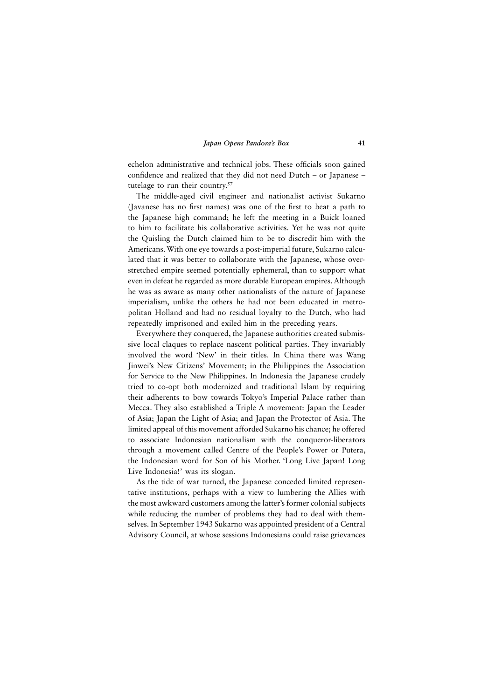echelon administrative and technical jobs. These officials soon gained confidence and realized that they did not need Dutch – or Japanese – tutelage to run their country.<sup>57</sup>

The middle-aged civil engineer and nationalist activist Sukarno (Javanese has no first names) was one of the first to beat a path to the Japanese high command; he left the meeting in a Buick loaned to him to facilitate his collaborative activities. Yet he was not quite the Quisling the Dutch claimed him to be to discredit him with the Americans. With one eye towards a post-imperial future, Sukarno calculated that it was better to collaborate with the Japanese, whose overstretched empire seemed potentially ephemeral, than to support what even in defeat he regarded as more durable European empires. Although he was as aware as many other nationalists of the nature of Japanese imperialism, unlike the others he had not been educated in metropolitan Holland and had no residual loyalty to the Dutch, who had repeatedly imprisoned and exiled him in the preceding years.

Everywhere they conquered, the Japanese authorities created submissive local claques to replace nascent political parties. They invariably involved the word 'New' in their titles. In China there was Wang Jinwei's New Citizens' Movement; in the Philippines the Association for Service to the New Philippines. In Indonesia the Japanese crudely tried to co-opt both modernized and traditional Islam by requiring their adherents to bow towards Tokyo's Imperial Palace rather than Mecca. They also established a Triple A movement: Japan the Leader of Asia; Japan the Light of Asia; and Japan the Protector of Asia. The limited appeal of this movement afforded Sukarno his chance; he offered to associate Indonesian nationalism with the conqueror-liberators through a movement called Centre of the People's Power or Putera, the Indonesian word for Son of his Mother. 'Long Live Japan! Long Live Indonesia!' was its slogan.

As the tide of war turned, the Japanese conceded limited representative institutions, perhaps with a view to lumbering the Allies with the most awkward customers among the latter's former colonial subjects while reducing the number of problems they had to deal with themselves. In September 1943 Sukarno was appointed president of a Central Advisory Council, at whose sessions Indonesians could raise grievances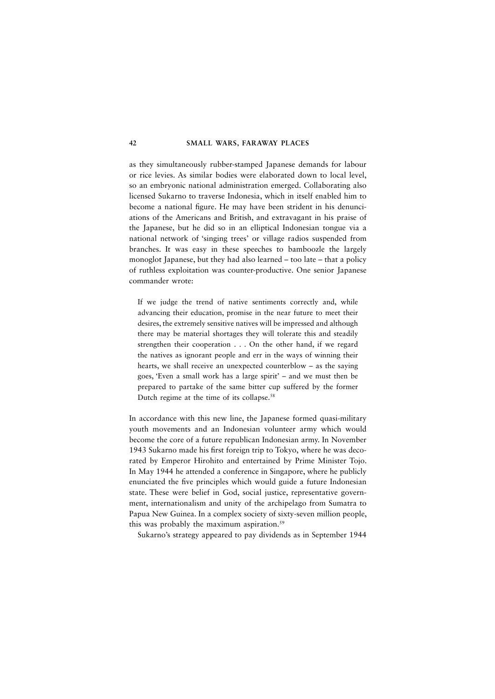as they simultaneously rubber-stamped Japanese demands for labour or rice levies. As similar bodies were elaborated down to local level, so an embryonic national administration emerged. Collaborating also licensed Sukarno to traverse Indonesia, which in itself enabled him to become a national figure. He may have been strident in his denunciations of the Americans and British, and extravagant in his praise of the Japanese, but he did so in an elliptical Indonesian tongue via a national network of 'singing trees' or village radios suspended from branches. It was easy in these speeches to bamboozle the largely monoglot Japanese, but they had also learned – too late – that a policy of ruthless exploitation was counter-productive. One senior Japanese commander wrote:

If we judge the trend of native sentiments correctly and, while advancing their education, promise in the near future to meet their desires, the extremely sensitive natives will be impressed and although there may be material shortages they will tolerate this and steadily strengthen their cooperation . . . On the other hand, if we regard the natives as ignorant people and err in the ways of winning their hearts, we shall receive an unexpected counterblow – as the saying goes, 'Even a small work has a large spirit' – and we must then be prepared to partake of the same bitter cup suffered by the former Dutch regime at the time of its collapse.<sup>58</sup>

In accordance with this new line, the Japanese formed quasi-military youth movements and an Indonesian volunteer army which would become the core of a future republican Indonesian army. In November 1943 Sukarno made his first foreign trip to Tokyo, where he was decorated by Emperor Hirohito and entertained by Prime Minister Tojo. In May 1944 he attended a conference in Singapore, where he publicly enunciated the five principles which would guide a future Indonesian state. These were belief in God, social justice, representative government, internationalism and unity of the archipelago from Sumatra to Papua New Guinea. In a complex society of sixty-seven million people, this was probably the maximum aspiration.59

Sukarno's strategy appeared to pay dividends as in September 1944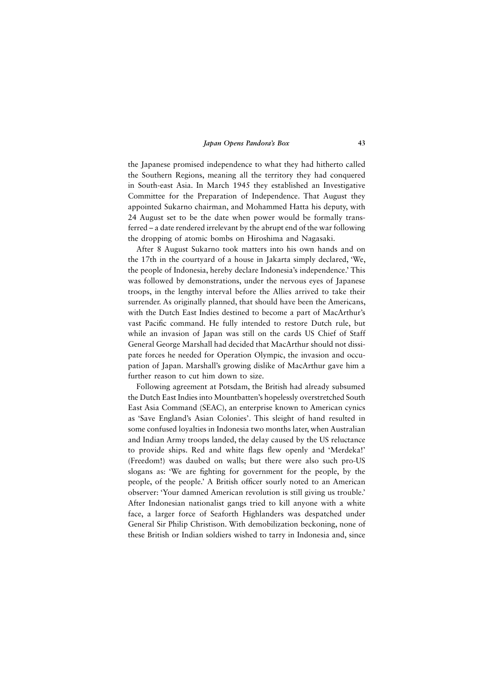the Japanese promised independence to what they had hitherto called the Southern Regions, meaning all the territory they had conquered in South-east Asia. In March 1945 they established an Investigative Committee for the Preparation of Independence. That August they appointed Sukarno chairman, and Mohammed Hatta his deputy, with 24 August set to be the date when power would be formally transferred – a date rendered irrelevant by the abrupt end of the war following the dropping of atomic bombs on Hiroshima and Nagasaki.

After 8 August Sukarno took matters into his own hands and on the 17th in the courtyard of a house in Jakarta simply declared, 'We, the people of Indonesia, hereby declare Indonesia's independence.' This was followed by demonstrations, under the nervous eyes of Japanese troops, in the lengthy interval before the Allies arrived to take their surrender. As originally planned, that should have been the Americans, with the Dutch East Indies destined to become a part of MacArthur's vast Pacific command. He fully intended to restore Dutch rule, but while an invasion of Japan was still on the cards US Chief of Staff General George Marshall had decided that MacArthur should not dissipate forces he needed for Operation Olympic, the invasion and occupation of Japan. Marshall's growing dislike of MacArthur gave him a further reason to cut him down to size.

Following agreement at Potsdam, the British had already subsumed the Dutch East Indies into Mountbatten's hopelessly overstretched South East Asia Command (SEAC), an enterprise known to American cynics as 'Save England's Asian Colonies'. This sleight of hand resulted in some confused loyalties in Indonesia two months later, when Australian and Indian Army troops landed, the delay caused by the US reluctance to provide ships. Red and white flags flew openly and 'Merdeka!' (Freedom!) was daubed on walls; but there were also such pro-US slogans as: 'We are fighting for government for the people, by the people, of the people.' A British officer sourly noted to an American observer: 'Your damned American revolution is still giving us trouble.' After Indonesian nationalist gangs tried to kill anyone with a white face, a larger force of Seaforth Highlanders was despatched under General Sir Philip Christison. With demobilization beckoning, none of these British or Indian soldiers wished to tarry in Indonesia and, since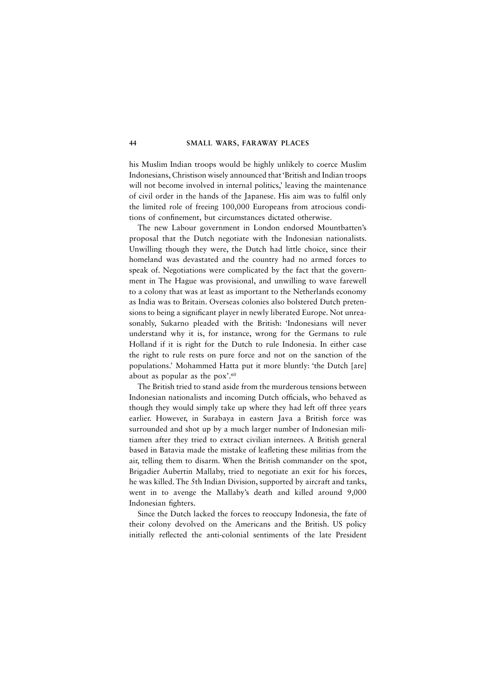his Muslim Indian troops would be highly unlikely to coerce Muslim Indonesians, Christison wisely announced that 'British and Indian troops will not become involved in internal politics,' leaving the maintenance of civil order in the hands of the Japanese. His aim was to fulfil only the limited role of freeing 100,000 Europeans from atrocious conditions of confinement, but circumstances dictated otherwise.

The new Labour government in London endorsed Mountbatten's proposal that the Dutch negotiate with the Indonesian nationalists. Unwilling though they were, the Dutch had little choice, since their homeland was devastated and the country had no armed forces to speak of. Negotiations were complicated by the fact that the government in The Hague was provisional, and unwilling to wave farewell to a colony that was at least as important to the Netherlands economy as India was to Britain. Overseas colonies also bolstered Dutch pretensions to being a significant player in newly liberated Europe. Not unreasonably, Sukarno pleaded with the British: 'Indonesians will never understand why it is, for instance, wrong for the Germans to rule Holland if it is right for the Dutch to rule Indonesia. In either case the right to rule rests on pure force and not on the sanction of the populations.' Mohammed Hatta put it more bluntly: 'the Dutch [are] about as popular as the pox'.<sup>60</sup>

The British tried to stand aside from the murderous tensions between Indonesian nationalists and incoming Dutch officials, who behaved as though they would simply take up where they had left off three years earlier. However, in Surabaya in eastern Java a British force was surrounded and shot up by a much larger number of Indonesian militiamen after they tried to extract civilian internees. A British general based in Batavia made the mistake of leafleting these militias from the air, telling them to disarm. When the British commander on the spot, Brigadier Aubertin Mallaby, tried to negotiate an exit for his forces, he was killed. The 5th Indian Division, supported by aircraft and tanks, went in to avenge the Mallaby's death and killed around 9,000 Indonesian fighters.

Since the Dutch lacked the forces to reoccupy Indonesia, the fate of their colony devolved on the Americans and the British. US policy initially reflected the anti-colonial sentiments of the late President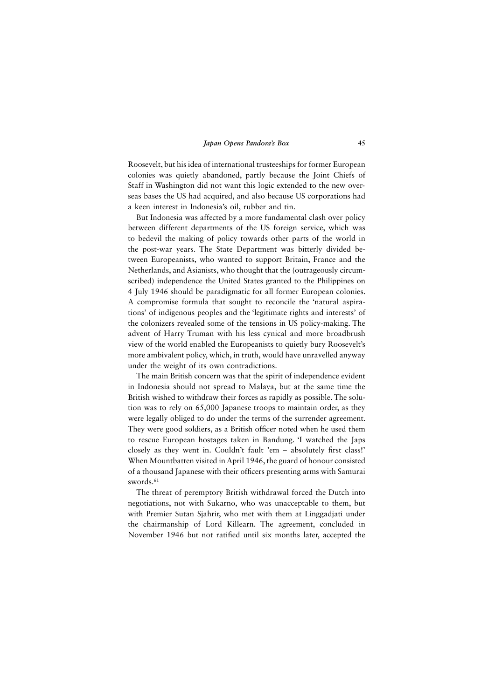Roosevelt, but his idea of international trusteeships for former European colonies was quietly abandoned, partly because the Joint Chiefs of Staff in Washington did not want this logic extended to the new overseas bases the US had acquired, and also because US corporations had a keen interest in Indonesia's oil, rubber and tin.

But Indonesia was affected by a more fundamental clash over policy between different departments of the US foreign service, which was to bedevil the making of policy towards other parts of the world in the post-war years. The State Department was bitterly divided between Europeanists, who wanted to support Britain, France and the Netherlands, and Asianists, who thought that the (outrageously circumscribed) independence the United States granted to the Philippines on 4 July 1946 should be paradigmatic for all former European colonies. A compromise formula that sought to reconcile the 'natural aspirations' of indigenous peoples and the 'legitimate rights and interests' of the colonizers revealed some of the tensions in US policy-making. The advent of Harry Truman with his less cynical and more broadbrush view of the world enabled the Europeanists to quietly bury Roosevelt's more ambivalent policy, which, in truth, would have unravelled anyway under the weight of its own contradictions.

The main British concern was that the spirit of independence evident in Indonesia should not spread to Malaya, but at the same time the British wished to withdraw their forces as rapidly as possible. The solution was to rely on 65,000 Japanese troops to maintain order, as they were legally obliged to do under the terms of the surrender agreement. They were good soldiers, as a British officer noted when he used them to rescue European hostages taken in Bandung. 'I watched the Japs closely as they went in. Couldn't fault 'em – absolutely first class!' When Mountbatten visited in April 1946, the guard of honour consisted of a thousand Japanese with their officers presenting arms with Samurai swords.<sup>61</sup>

The threat of peremptory British withdrawal forced the Dutch into negotiations, not with Sukarno, who was unacceptable to them, but with Premier Sutan Sjahrir, who met with them at Linggadjati under the chairmanship of Lord Killearn. The agreement, concluded in November 1946 but not ratified until six months later, accepted the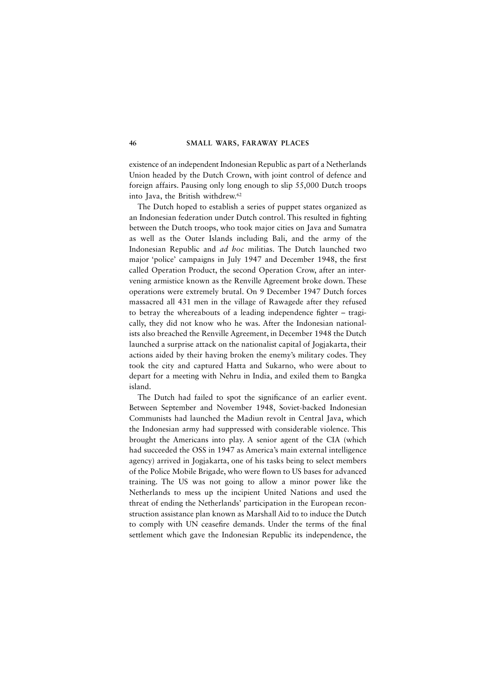existence of an independent Indonesian Republic as part of a Netherlands Union headed by the Dutch Crown, with joint control of defence and foreign affairs. Pausing only long enough to slip 55,000 Dutch troops into Java, the British withdrew.62

The Dutch hoped to establish a series of puppet states organized as an Indonesian federation under Dutch control. This resulted in fighting between the Dutch troops, who took major cities on Java and Sumatra as well as the Outer Islands including Bali, and the army of the Indonesian Republic and *ad hoc* militias. The Dutch launched two major 'police' campaigns in July 1947 and December 1948, the first called Operation Product, the second Operation Crow, after an intervening armistice known as the Renville Agreement broke down. These operations were extremely brutal. On 9 December 1947 Dutch forces massacred all 431 men in the village of Rawagede after they refused to betray the whereabouts of a leading independence fighter – tragically, they did not know who he was. After the Indonesian nationalists also breached the Renville Agreement, in December 1948 the Dutch launched a surprise attack on the nationalist capital of Jogjakarta, their actions aided by their having broken the enemy's military codes. They took the city and captured Hatta and Sukarno, who were about to depart for a meeting with Nehru in India, and exiled them to Bangka island.

The Dutch had failed to spot the significance of an earlier event. Between September and November 1948, Soviet-backed Indonesian Communists had launched the Madiun revolt in Central Java, which the Indonesian army had suppressed with considerable violence. This brought the Americans into play. A senior agent of the CIA (which had succeeded the OSS in 1947 as America's main external intelligence agency) arrived in Jogjakarta, one of his tasks being to select members of the Police Mobile Brigade, who were flown to US bases for advanced training. The US was not going to allow a minor power like the Netherlands to mess up the incipient United Nations and used the threat of ending the Netherlands' participation in the European reconstruction assistance plan known as Marshall Aid to to induce the Dutch to comply with UN ceasefire demands. Under the terms of the final settlement which gave the Indonesian Republic its independence, the